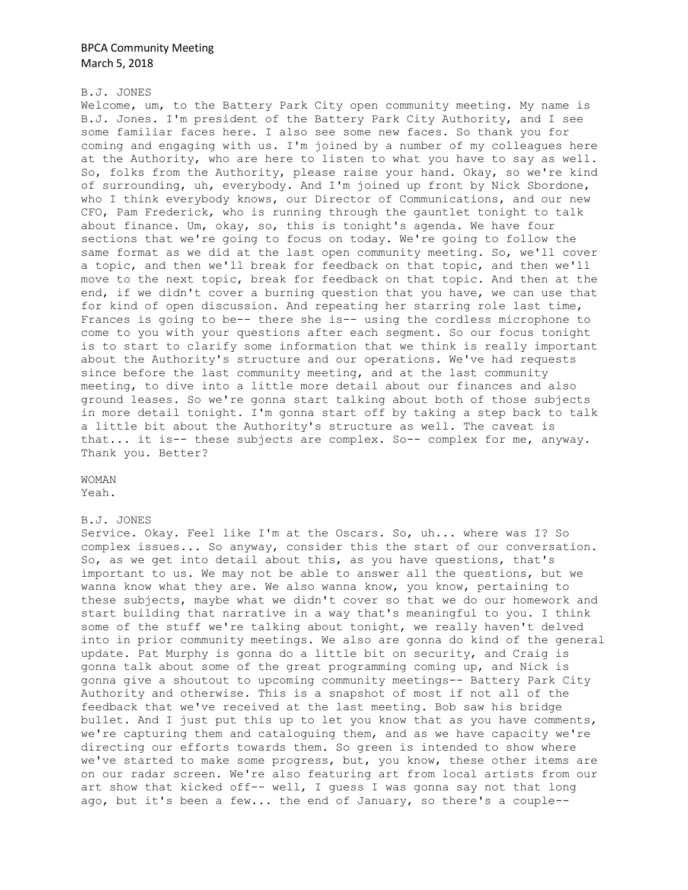### B.J. JONES

Welcome, um, to the Battery Park City open community meeting. My name is B.J. Jones. I'm president of the Battery Park City Authority, and I see some familiar faces here. I also see some new faces. So thank you for coming and engaging with us. I'm joined by a number of my colleagues here at the Authority, who are here to listen to what you have to say as well. So, folks from the Authority, please raise your hand. Okay, so we're kind of surrounding, uh, everybody. And I'm joined up front by Nick Sbordone, who I think everybody knows, our Director of Communications, and our new CFO, Pam Frederick, who is running through the gauntlet tonight to talk about finance. Um, okay, so, this is tonight's agenda. We have four sections that we're going to focus on today. We're going to follow the same format as we did at the last open community meeting. So, we'll cover a topic, and then we'll break for feedback on that topic, and then we'll move to the next topic, break for feedback on that topic. And then at the end, if we didn't cover a burning question that you have, we can use that for kind of open discussion. And repeating her starring role last time, Frances is going to be-- there she is-- using the cordless microphone to come to you with your questions after each segment. So our focus tonight is to start to clarify some information that we think is really important about the Authority's structure and our operations. We've had requests since before the last community meeting, and at the last community meeting, to dive into a little more detail about our finances and also ground leases. So we're gonna start talking about both of those subjects in more detail tonight. I'm gonna start off by taking a step back to talk a little bit about the Authority's structure as well. The caveat is that... it is-- these subjects are complex. So-- complex for me, anyway. Thank you. Better?

WOMAN Yeah.

#### B.J. JONES

Service. Okay. Feel like I'm at the Oscars. So, uh... where was I? So complex issues... So anyway, consider this the start of our conversation. So, as we get into detail about this, as you have questions, that's important to us. We may not be able to answer all the questions, but we wanna know what they are. We also wanna know, you know, pertaining to these subjects, maybe what we didn't cover so that we do our homework and start building that narrative in a way that's meaningful to you. I think some of the stuff we're talking about tonight, we really haven't delved into in prior community meetings. We also are gonna do kind of the general update. Pat Murphy is gonna do a little bit on security, and Craig is gonna talk about some of the great programming coming up, and Nick is gonna give a shoutout to upcoming community meetings-- Battery Park City Authority and otherwise. This is a snapshot of most if not all of the feedback that we've received at the last meeting. Bob saw his bridge bullet. And I just put this up to let you know that as you have comments, we're capturing them and cataloguing them, and as we have capacity we're directing our efforts towards them. So green is intended to show where we've started to make some progress, but, you know, these other items are on our radar screen. We're also featuring art from local artists from our art show that kicked off-- well, I guess I was gonna say not that long ago, but it's been a few... the end of January, so there's a couple--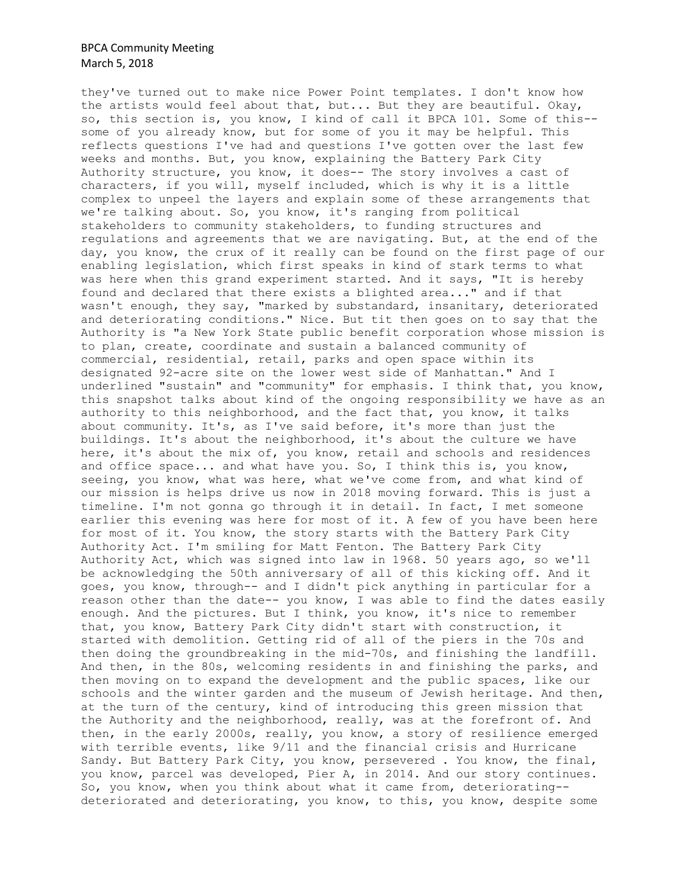they've turned out to make nice Power Point templates. I don't know how the artists would feel about that, but... But they are beautiful. Okay, so, this section is, you know, I kind of call it BPCA 101. Some of this- some of you already know, but for some of you it may be helpful. This reflects questions I've had and questions I've gotten over the last few weeks and months. But, you know, explaining the Battery Park City Authority structure, you know, it does-- The story involves a cast of characters, if you will, myself included, which is why it is a little complex to unpeel the layers and explain some of these arrangements that we're talking about. So, you know, it's ranging from political stakeholders to community stakeholders, to funding structures and regulations and agreements that we are navigating. But, at the end of the day, you know, the crux of it really can be found on the first page of our enabling legislation, which first speaks in kind of stark terms to what was here when this grand experiment started. And it says, "It is hereby found and declared that there exists a blighted area..." and if that wasn't enough, they say, "marked by substandard, insanitary, deteriorated and deteriorating conditions." Nice. But tit then goes on to say that the Authority is "a New York State public benefit corporation whose mission is to plan, create, coordinate and sustain a balanced community of commercial, residential, retail, parks and open space within its designated 92-acre site on the lower west side of Manhattan." And I underlined "sustain" and "community" for emphasis. I think that, you know, this snapshot talks about kind of the ongoing responsibility we have as an authority to this neighborhood, and the fact that, you know, it talks about community. It's, as I've said before, it's more than just the buildings. It's about the neighborhood, it's about the culture we have here, it's about the mix of, you know, retail and schools and residences and office space... and what have you. So, I think this is, you know, seeing, you know, what was here, what we've come from, and what kind of our mission is helps drive us now in 2018 moving forward. This is just a timeline. I'm not gonna go through it in detail. In fact, I met someone earlier this evening was here for most of it. A few of you have been here for most of it. You know, the story starts with the Battery Park City Authority Act. I'm smiling for Matt Fenton. The Battery Park City Authority Act, which was signed into law in 1968. 50 years ago, so we'll be acknowledging the 50th anniversary of all of this kicking off. And it goes, you know, through-- and I didn't pick anything in particular for a reason other than the date-- you know, I was able to find the dates easily enough. And the pictures. But I think, you know, it's nice to remember that, you know, Battery Park City didn't start with construction, it started with demolition. Getting rid of all of the piers in the 70s and then doing the groundbreaking in the mid-70s, and finishing the landfill. And then, in the 80s, welcoming residents in and finishing the parks, and then moving on to expand the development and the public spaces, like our schools and the winter garden and the museum of Jewish heritage. And then, at the turn of the century, kind of introducing this green mission that the Authority and the neighborhood, really, was at the forefront of. And then, in the early 2000s, really, you know, a story of resilience emerged with terrible events, like 9/11 and the financial crisis and Hurricane Sandy. But Battery Park City, you know, persevered . You know, the final, you know, parcel was developed, Pier A, in 2014. And our story continues. So, you know, when you think about what it came from, deteriorating- deteriorated and deteriorating, you know, to this, you know, despite some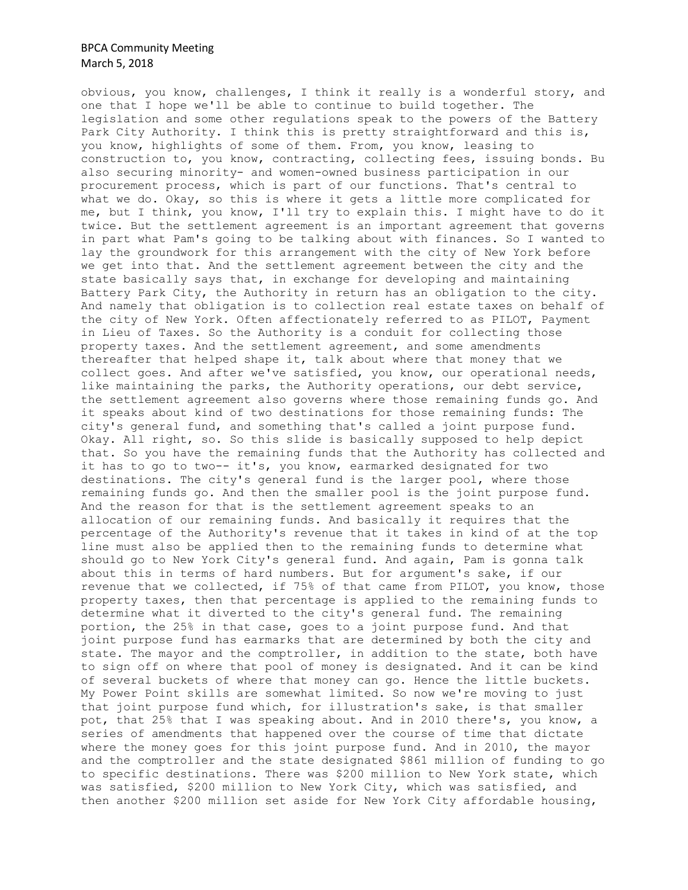obvious, you know, challenges, I think it really is a wonderful story, and one that I hope we'll be able to continue to build together. The legislation and some other regulations speak to the powers of the Battery Park City Authority. I think this is pretty straightforward and this is, you know, highlights of some of them. From, you know, leasing to construction to, you know, contracting, collecting fees, issuing bonds. Bu also securing minority- and women-owned business participation in our procurement process, which is part of our functions. That's central to what we do. Okay, so this is where it gets a little more complicated for me, but I think, you know, I'll try to explain this. I might have to do it twice. But the settlement agreement is an important agreement that governs in part what Pam's going to be talking about with finances. So I wanted to lay the groundwork for this arrangement with the city of New York before we get into that. And the settlement agreement between the city and the state basically says that, in exchange for developing and maintaining Battery Park City, the Authority in return has an obligation to the city. And namely that obligation is to collection real estate taxes on behalf of the city of New York. Often affectionately referred to as PILOT, Payment in Lieu of Taxes. So the Authority is a conduit for collecting those property taxes. And the settlement agreement, and some amendments thereafter that helped shape it, talk about where that money that we collect goes. And after we've satisfied, you know, our operational needs, like maintaining the parks, the Authority operations, our debt service, the settlement agreement also governs where those remaining funds go. And it speaks about kind of two destinations for those remaining funds: The city's general fund, and something that's called a joint purpose fund. Okay. All right, so. So this slide is basically supposed to help depict that. So you have the remaining funds that the Authority has collected and it has to go to two-- it's, you know, earmarked designated for two destinations. The city's general fund is the larger pool, where those remaining funds go. And then the smaller pool is the joint purpose fund. And the reason for that is the settlement agreement speaks to an allocation of our remaining funds. And basically it requires that the percentage of the Authority's revenue that it takes in kind of at the top line must also be applied then to the remaining funds to determine what should go to New York City's general fund. And again, Pam is gonna talk about this in terms of hard numbers. But for argument's sake, if our revenue that we collected, if 75% of that came from PILOT, you know, those property taxes, then that percentage is applied to the remaining funds to determine what it diverted to the city's general fund. The remaining portion, the 25% in that case, goes to a joint purpose fund. And that joint purpose fund has earmarks that are determined by both the city and state. The mayor and the comptroller, in addition to the state, both have to sign off on where that pool of money is designated. And it can be kind of several buckets of where that money can go. Hence the little buckets. My Power Point skills are somewhat limited. So now we're moving to just that joint purpose fund which, for illustration's sake, is that smaller pot, that 25% that I was speaking about. And in 2010 there's, you know, a series of amendments that happened over the course of time that dictate where the money goes for this joint purpose fund. And in 2010, the mayor and the comptroller and the state designated \$861 million of funding to go to specific destinations. There was \$200 million to New York state, which was satisfied, \$200 million to New York City, which was satisfied, and then another \$200 million set aside for New York City affordable housing,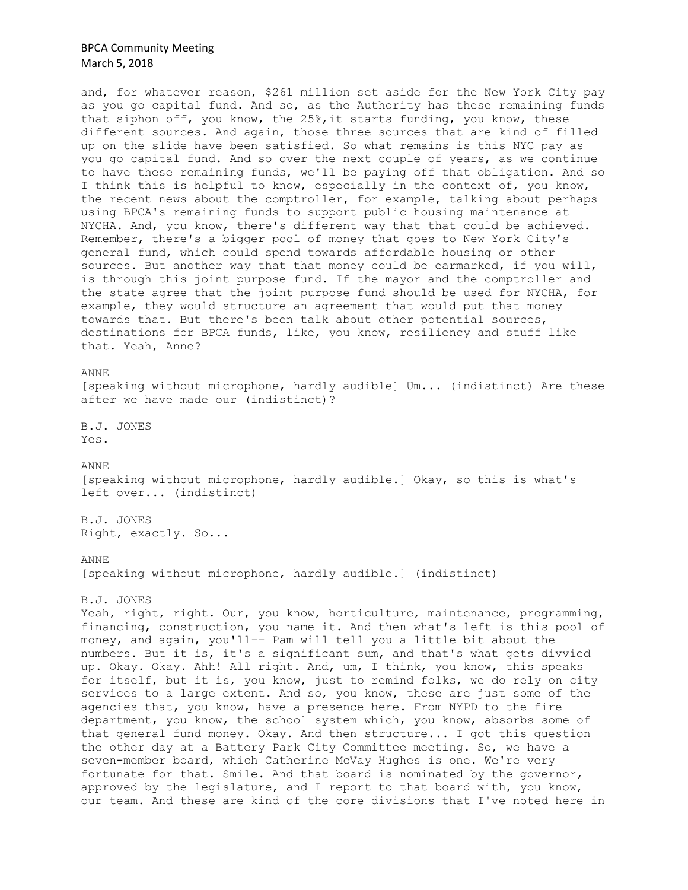and, for whatever reason, \$261 million set aside for the New York City pay as you go capital fund. And so, as the Authority has these remaining funds that siphon off, you know, the 25%,it starts funding, you know, these different sources. And again, those three sources that are kind of filled up on the slide have been satisfied. So what remains is this NYC pay as you go capital fund. And so over the next couple of years, as we continue to have these remaining funds, we'll be paying off that obligation. And so I think this is helpful to know, especially in the context of, you know, the recent news about the comptroller, for example, talking about perhaps using BPCA's remaining funds to support public housing maintenance at NYCHA. And, you know, there's different way that that could be achieved. Remember, there's a bigger pool of money that goes to New York City's general fund, which could spend towards affordable housing or other sources. But another way that that money could be earmarked, if you will, is through this joint purpose fund. If the mayor and the comptroller and the state agree that the joint purpose fund should be used for NYCHA, for example, they would structure an agreement that would put that money towards that. But there's been talk about other potential sources, destinations for BPCA funds, like, you know, resiliency and stuff like that. Yeah, Anne?

#### ANNE

[speaking without microphone, hardly audible] Um... (indistinct) Are these after we have made our (indistinct)?

B.J. JONES Yes.

ANNE

[speaking without microphone, hardly audible.] Okay, so this is what's left over... (indistinct)

B.J. JONES Right, exactly. So...

#### ANNE

[speaking without microphone, hardly audible.] (indistinct)

B.J. JONES

Yeah, right, right. Our, you know, horticulture, maintenance, programming, financing, construction, you name it. And then what's left is this pool of money, and again, you'll-- Pam will tell you a little bit about the numbers. But it is, it's a significant sum, and that's what gets divvied up. Okay. Okay. Ahh! All right. And, um, I think, you know, this speaks for itself, but it is, you know, just to remind folks, we do rely on city services to a large extent. And so, you know, these are just some of the agencies that, you know, have a presence here. From NYPD to the fire department, you know, the school system which, you know, absorbs some of that general fund money. Okay. And then structure... I got this question the other day at a Battery Park City Committee meeting. So, we have a seven-member board, which Catherine McVay Hughes is one. We're very fortunate for that. Smile. And that board is nominated by the governor, approved by the legislature, and I report to that board with, you know, our team. And these are kind of the core divisions that I've noted here in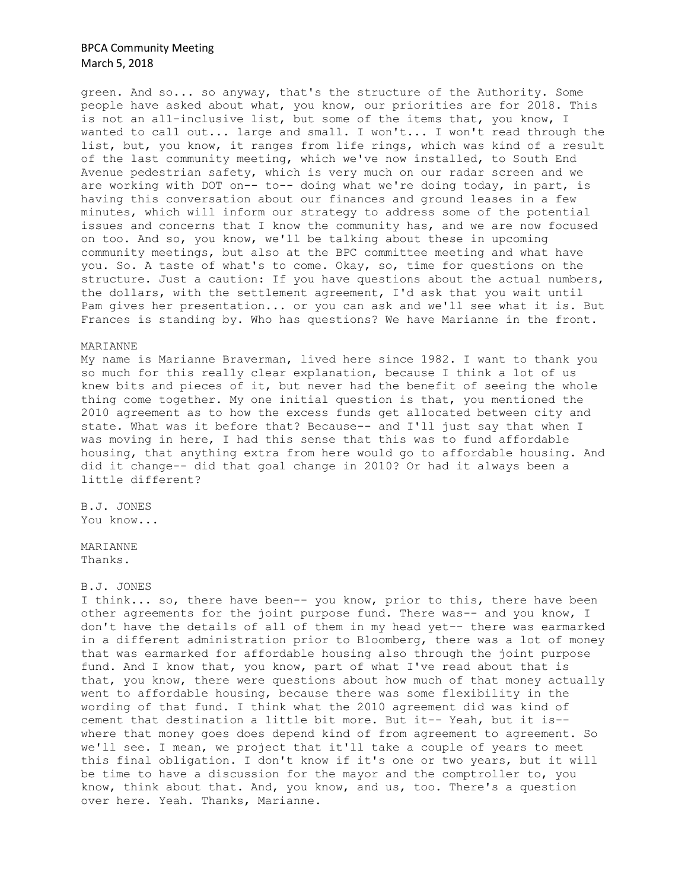green. And so... so anyway, that's the structure of the Authority. Some people have asked about what, you know, our priorities are for 2018. This is not an all-inclusive list, but some of the items that, you know, I wanted to call out... large and small. I won't... I won't read through the list, but, you know, it ranges from life rings, which was kind of a result of the last community meeting, which we've now installed, to South End Avenue pedestrian safety, which is very much on our radar screen and we are working with DOT on-- to-- doing what we're doing today, in part, is having this conversation about our finances and ground leases in a few minutes, which will inform our strategy to address some of the potential issues and concerns that I know the community has, and we are now focused on too. And so, you know, we'll be talking about these in upcoming community meetings, but also at the BPC committee meeting and what have you. So. A taste of what's to come. Okay, so, time for questions on the structure. Just a caution: If you have questions about the actual numbers, the dollars, with the settlement agreement, I'd ask that you wait until Pam gives her presentation... or you can ask and we'll see what it is. But Frances is standing by. Who has questions? We have Marianne in the front.

### MARIANNE

My name is Marianne Braverman, lived here since 1982. I want to thank you so much for this really clear explanation, because I think a lot of us knew bits and pieces of it, but never had the benefit of seeing the whole thing come together. My one initial question is that, you mentioned the 2010 agreement as to how the excess funds get allocated between city and state. What was it before that? Because-- and I'll just say that when I was moving in here, I had this sense that this was to fund affordable housing, that anything extra from here would go to affordable housing. And did it change-- did that goal change in 2010? Or had it always been a little different?

B.J. JONES You know...

MARIANNE Thanks.

### B.J. JONES

I think... so, there have been-- you know, prior to this, there have been other agreements for the joint purpose fund. There was-- and you know, I don't have the details of all of them in my head yet-- there was earmarked in a different administration prior to Bloomberg, there was a lot of money that was earmarked for affordable housing also through the joint purpose fund. And I know that, you know, part of what I've read about that is that, you know, there were questions about how much of that money actually went to affordable housing, because there was some flexibility in the wording of that fund. I think what the 2010 agreement did was kind of cement that destination a little bit more. But it-- Yeah, but it is- where that money goes does depend kind of from agreement to agreement. So we'll see. I mean, we project that it'll take a couple of years to meet this final obligation. I don't know if it's one or two years, but it will be time to have a discussion for the mayor and the comptroller to, you know, think about that. And, you know, and us, too. There's a question over here. Yeah. Thanks, Marianne.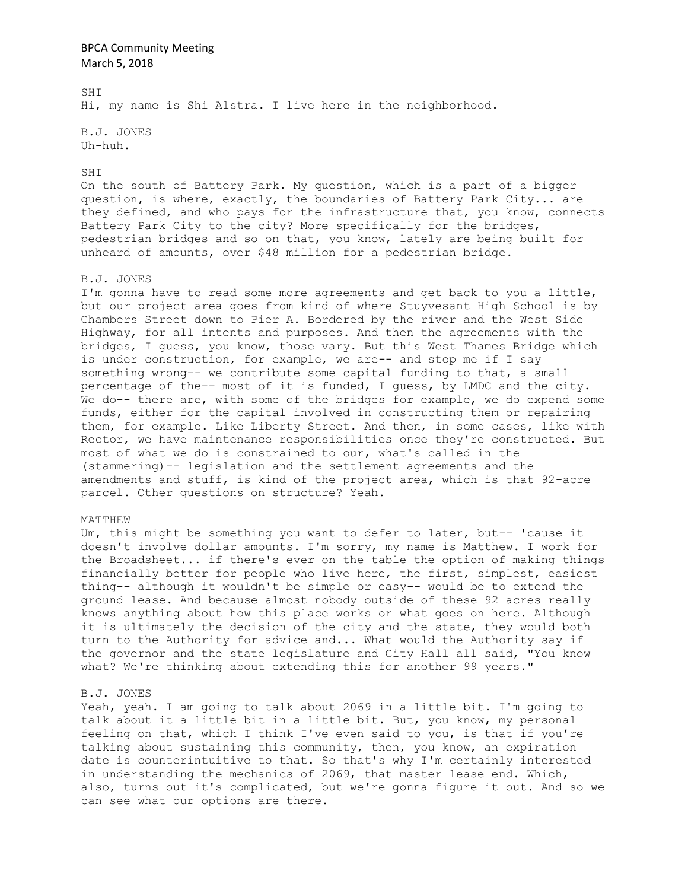SHI Hi, my name is Shi Alstra. I live here in the neighborhood.

B.J. JONES Uh-huh.

#### SHI

On the south of Battery Park. My question, which is a part of a bigger question, is where, exactly, the boundaries of Battery Park City... are they defined, and who pays for the infrastructure that, you know, connects Battery Park City to the city? More specifically for the bridges, pedestrian bridges and so on that, you know, lately are being built for unheard of amounts, over \$48 million for a pedestrian bridge.

### B.J. JONES

I'm gonna have to read some more agreements and get back to you a little, but our project area goes from kind of where Stuyvesant High School is by Chambers Street down to Pier A. Bordered by the river and the West Side Highway, for all intents and purposes. And then the agreements with the bridges, I guess, you know, those vary. But this West Thames Bridge which is under construction, for example, we are-- and stop me if I say something wrong-- we contribute some capital funding to that, a small percentage of the-- most of it is funded, I guess, by LMDC and the city. We do-- there are, with some of the bridges for example, we do expend some funds, either for the capital involved in constructing them or repairing them, for example. Like Liberty Street. And then, in some cases, like with Rector, we have maintenance responsibilities once they're constructed. But most of what we do is constrained to our, what's called in the (stammering)-- legislation and the settlement agreements and the amendments and stuff, is kind of the project area, which is that 92-acre parcel. Other questions on structure? Yeah.

#### MATTHEW

Um, this might be something you want to defer to later, but-- 'cause it doesn't involve dollar amounts. I'm sorry, my name is Matthew. I work for the Broadsheet... if there's ever on the table the option of making things financially better for people who live here, the first, simplest, easiest thing-- although it wouldn't be simple or easy-- would be to extend the ground lease. And because almost nobody outside of these 92 acres really knows anything about how this place works or what goes on here. Although it is ultimately the decision of the city and the state, they would both turn to the Authority for advice and... What would the Authority say if the governor and the state legislature and City Hall all said, "You know what? We're thinking about extending this for another 99 years."

### B.J. JONES

Yeah, yeah. I am going to talk about 2069 in a little bit. I'm going to talk about it a little bit in a little bit. But, you know, my personal feeling on that, which I think I've even said to you, is that if you're talking about sustaining this community, then, you know, an expiration date is counterintuitive to that. So that's why I'm certainly interested in understanding the mechanics of 2069, that master lease end. Which, also, turns out it's complicated, but we're gonna figure it out. And so we can see what our options are there.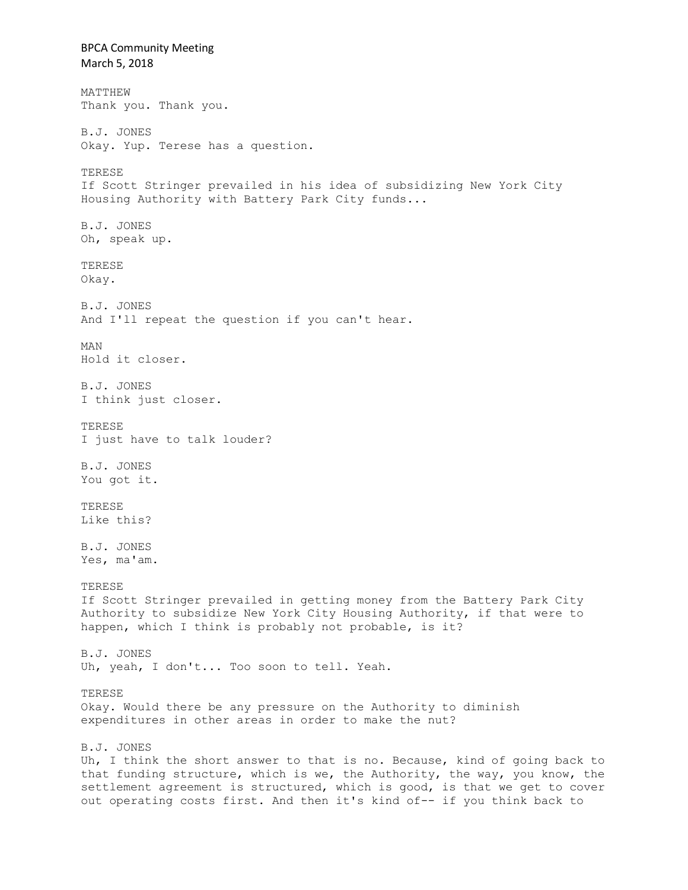BPCA Community Meeting March 5, 2018 MATTHEW Thank you. Thank you. B.J. JONES Okay. Yup. Terese has a question. TERESE If Scott Stringer prevailed in his idea of subsidizing New York City Housing Authority with Battery Park City funds... B.J. JONES Oh, speak up. TERESE Okay. B.J. JONES And I'll repeat the question if you can't hear. MAN Hold it closer. B.J. JONES I think just closer. TERESE I just have to talk louder? B.J. JONES You got it. TERESE Like this? B.J. JONES Yes, ma'am. TERESE If Scott Stringer prevailed in getting money from the Battery Park City Authority to subsidize New York City Housing Authority, if that were to happen, which I think is probably not probable, is it? B.J. JONES Uh, yeah, I don't... Too soon to tell. Yeah. TERESE Okay. Would there be any pressure on the Authority to diminish expenditures in other areas in order to make the nut? B.J. JONES Uh, I think the short answer to that is no. Because, kind of going back to that funding structure, which is we, the Authority, the way, you know, the settlement agreement is structured, which is good, is that we get to cover out operating costs first. And then it's kind of-- if you think back to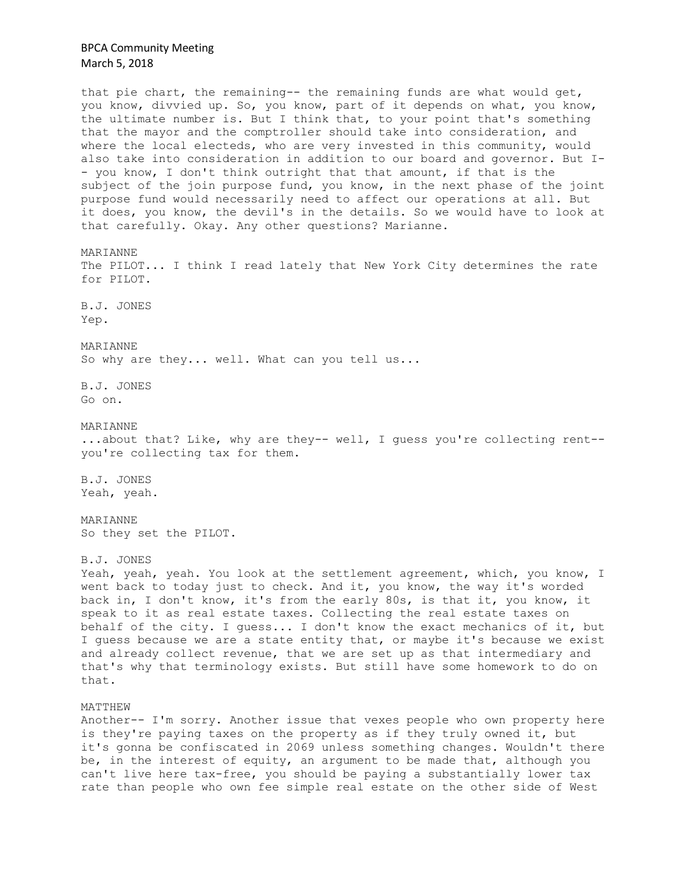that pie chart, the remaining-- the remaining funds are what would get, you know, divvied up. So, you know, part of it depends on what, you know, the ultimate number is. But I think that, to your point that's something that the mayor and the comptroller should take into consideration, and where the local electeds, who are very invested in this community, would also take into consideration in addition to our board and governor. But I- - you know, I don't think outright that that amount, if that is the subject of the join purpose fund, you know, in the next phase of the joint purpose fund would necessarily need to affect our operations at all. But it does, you know, the devil's in the details. So we would have to look at that carefully. Okay. Any other questions? Marianne.

MARIANNE

The PILOT... I think I read lately that New York City determines the rate for PILOT.

B.J. JONES Yep.

MARIANNE

So why are they... well. What can you tell us...

B.J. JONES Go on.

MARIANNE

...about that? Like, why are they-- well, I guess you're collecting rent- you're collecting tax for them.

B.J. JONES Yeah, yeah.

MARIANNE So they set the PILOT.

B.J. JONES

Yeah, yeah, yeah. You look at the settlement agreement, which, you know, I went back to today just to check. And it, you know, the way it's worded back in, I don't know, it's from the early 80s, is that it, you know, it speak to it as real estate taxes. Collecting the real estate taxes on behalf of the city. I guess... I don't know the exact mechanics of it, but I guess because we are a state entity that, or maybe it's because we exist and already collect revenue, that we are set up as that intermediary and that's why that terminology exists. But still have some homework to do on that.

MATTHEW

Another-- I'm sorry. Another issue that vexes people who own property here is they're paying taxes on the property as if they truly owned it, but it's gonna be confiscated in 2069 unless something changes. Wouldn't there be, in the interest of equity, an argument to be made that, although you can't live here tax-free, you should be paying a substantially lower tax rate than people who own fee simple real estate on the other side of West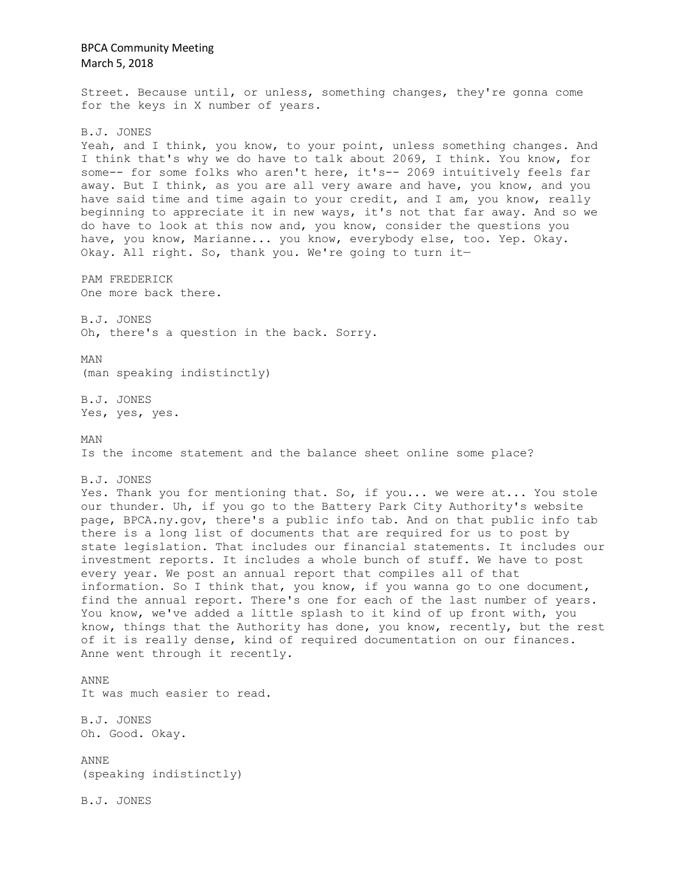BPCA Community Meeting March 5, 2018 Street. Because until, or unless, something changes, they're gonna come for the keys in X number of years. B.J. JONES Yeah, and I think, you know, to your point, unless something changes. And I think that's why we do have to talk about 2069, I think. You know, for some-- for some folks who aren't here, it's-- 2069 intuitively feels far away. But I think, as you are all very aware and have, you know, and you have said time and time again to your credit, and I am, you know, really beginning to appreciate it in new ways, it's not that far away. And so we do have to look at this now and, you know, consider the questions you have, you know, Marianne... you know, everybody else, too. Yep. Okay. Okay. All right. So, thank you. We're going to turn it— PAM FREDERICK One more back there. B.J. JONES Oh, there's a question in the back. Sorry. MAN (man speaking indistinctly) B.J. JONES Yes, yes, yes. MAN Is the income statement and the balance sheet online some place? B.J. JONES Yes. Thank you for mentioning that. So, if you... we were at... You stole our thunder. Uh, if you go to the Battery Park City Authority's website page, BPCA.ny.gov, there's a public info tab. And on that public info tab there is a long list of documents that are required for us to post by state legislation. That includes our financial statements. It includes our investment reports. It includes a whole bunch of stuff. We have to post every year. We post an annual report that compiles all of that information. So I think that, you know, if you wanna go to one document, find the annual report. There's one for each of the last number of years. You know, we've added a little splash to it kind of up front with, you know, things that the Authority has done, you know, recently, but the rest of it is really dense, kind of required documentation on our finances. Anne went through it recently. ANNE It was much easier to read. B.J. JONES Oh. Good. Okay. ANNE (speaking indistinctly) B.J. JONES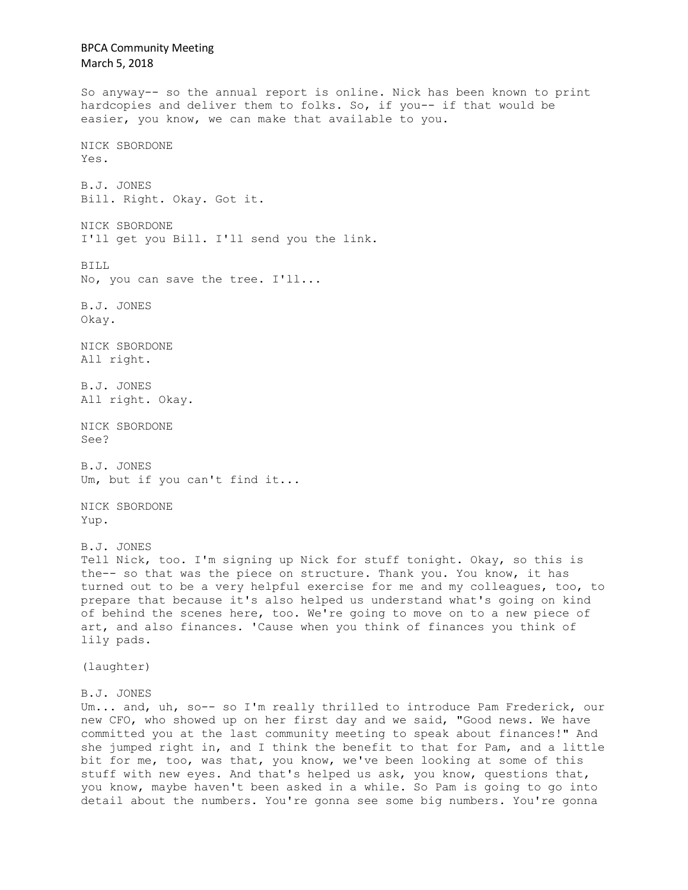BPCA Community Meeting March 5, 2018 So anyway-- so the annual report is online. Nick has been known to print hardcopies and deliver them to folks. So, if you-- if that would be easier, you know, we can make that available to you. NICK SBORDONE Yes. B.J. JONES Bill. Right. Okay. Got it. NICK SBORDONE I'll get you Bill. I'll send you the link. BILL No, you can save the tree. I'll... B.J. JONES Okay. NICK SBORDONE All right. B.J. JONES All right. Okay. NICK SBORDONE See? B.J. JONES Um, but if you can't find it... NICK SBORDONE Yup. B.J. JONES Tell Nick, too. I'm signing up Nick for stuff tonight. Okay, so this is the-- so that was the piece on structure. Thank you. You know, it has turned out to be a very helpful exercise for me and my colleagues, too, to prepare that because it's also helped us understand what's going on kind of behind the scenes here, too. We're going to move on to a new piece of art, and also finances. 'Cause when you think of finances you think of lily pads. (laughter) B.J. JONES Um... and, uh, so-- so I'm really thrilled to introduce Pam Frederick, our new CFO, who showed up on her first day and we said, "Good news. We have committed you at the last community meeting to speak about finances!" And she jumped right in, and I think the benefit to that for Pam, and a little bit for me, too, was that, you know, we've been looking at some of this stuff with new eyes. And that's helped us ask, you know, questions that, you know, maybe haven't been asked in a while. So Pam is going to go into detail about the numbers. You're gonna see some big numbers. You're gonna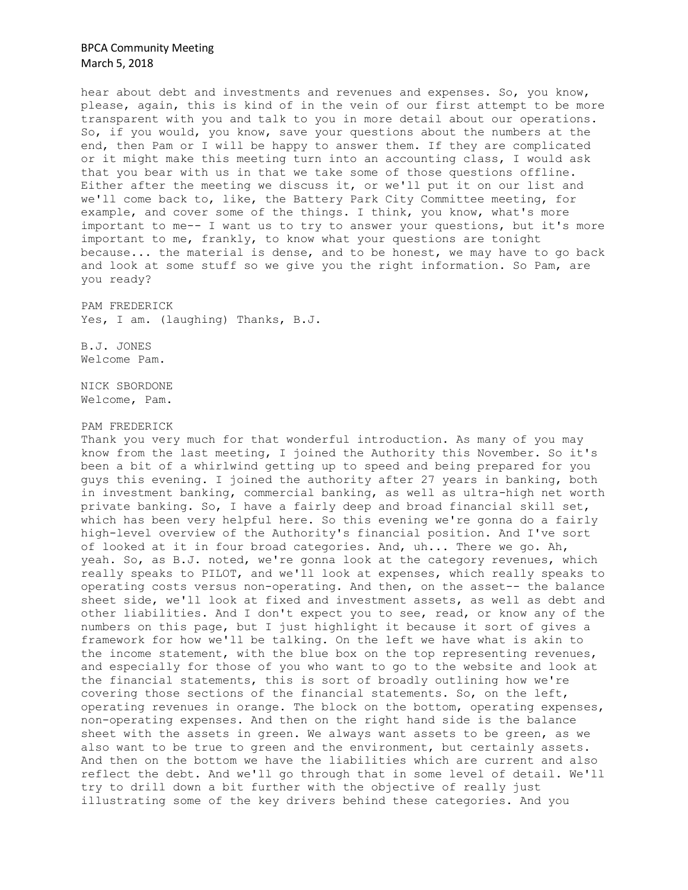hear about debt and investments and revenues and expenses. So, you know, please, again, this is kind of in the vein of our first attempt to be more transparent with you and talk to you in more detail about our operations. So, if you would, you know, save your questions about the numbers at the end, then Pam or I will be happy to answer them. If they are complicated or it might make this meeting turn into an accounting class, I would ask that you bear with us in that we take some of those questions offline. Either after the meeting we discuss it, or we'll put it on our list and we'll come back to, like, the Battery Park City Committee meeting, for example, and cover some of the things. I think, you know, what's more important to me-- I want us to try to answer your questions, but it's more important to me, frankly, to know what your questions are tonight because... the material is dense, and to be honest, we may have to go back and look at some stuff so we give you the right information. So Pam, are you ready?

PAM FREDERICK Yes, I am. (laughing) Thanks, B.J.

B.J. JONES Welcome Pam.

NICK SBORDONE Welcome, Pam.

#### PAM FREDERICK

Thank you very much for that wonderful introduction. As many of you may know from the last meeting, I joined the Authority this November. So it's been a bit of a whirlwind getting up to speed and being prepared for you guys this evening. I joined the authority after 27 years in banking, both in investment banking, commercial banking, as well as ultra-high net worth private banking. So, I have a fairly deep and broad financial skill set, which has been very helpful here. So this evening we're gonna do a fairly high-level overview of the Authority's financial position. And I've sort of looked at it in four broad categories. And, uh... There we go. Ah, yeah. So, as B.J. noted, we're gonna look at the category revenues, which really speaks to PILOT, and we'll look at expenses, which really speaks to operating costs versus non-operating. And then, on the asset-- the balance sheet side, we'll look at fixed and investment assets, as well as debt and other liabilities. And I don't expect you to see, read, or know any of the numbers on this page, but I just highlight it because it sort of gives a framework for how we'll be talking. On the left we have what is akin to the income statement, with the blue box on the top representing revenues, and especially for those of you who want to go to the website and look at the financial statements, this is sort of broadly outlining how we're covering those sections of the financial statements. So, on the left, operating revenues in orange. The block on the bottom, operating expenses, non-operating expenses. And then on the right hand side is the balance sheet with the assets in green. We always want assets to be green, as we also want to be true to green and the environment, but certainly assets. And then on the bottom we have the liabilities which are current and also reflect the debt. And we'll go through that in some level of detail. We'll try to drill down a bit further with the objective of really just illustrating some of the key drivers behind these categories. And you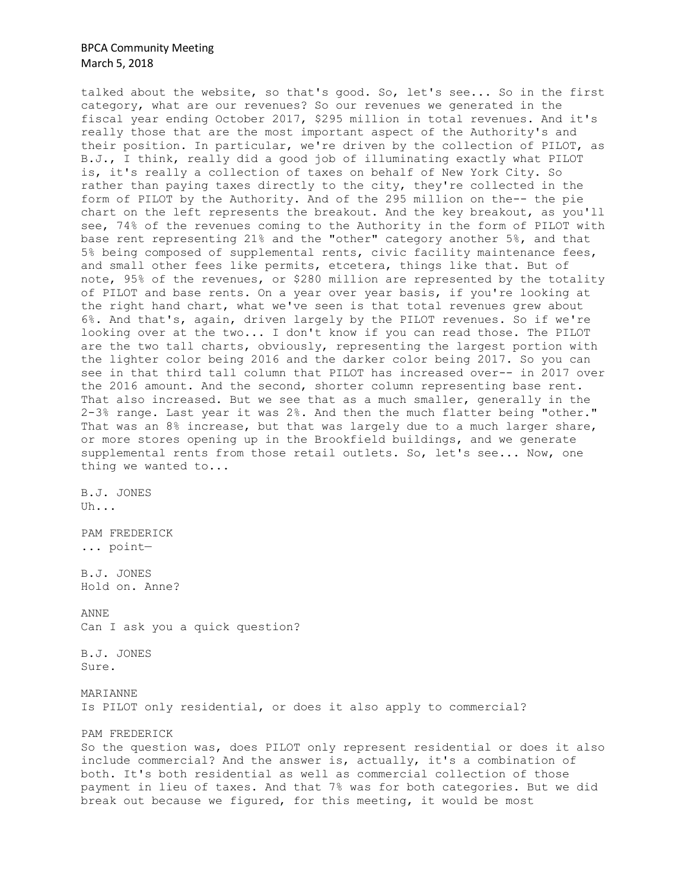talked about the website, so that's good. So, let's see... So in the first category, what are our revenues? So our revenues we generated in the fiscal year ending October 2017, \$295 million in total revenues. And it's really those that are the most important aspect of the Authority's and their position. In particular, we're driven by the collection of PILOT, as B.J., I think, really did a good job of illuminating exactly what PILOT is, it's really a collection of taxes on behalf of New York City. So rather than paying taxes directly to the city, they're collected in the form of PILOT by the Authority. And of the 295 million on the-- the pie chart on the left represents the breakout. And the key breakout, as you'll see, 74% of the revenues coming to the Authority in the form of PILOT with base rent representing 21% and the "other" category another 5%, and that 5% being composed of supplemental rents, civic facility maintenance fees, and small other fees like permits, etcetera, things like that. But of note, 95% of the revenues, or \$280 million are represented by the totality of PILOT and base rents. On a year over year basis, if you're looking at the right hand chart, what we've seen is that total revenues grew about 6%. And that's, again, driven largely by the PILOT revenues. So if we're looking over at the two... I don't know if you can read those. The PILOT are the two tall charts, obviously, representing the largest portion with the lighter color being 2016 and the darker color being 2017. So you can see in that third tall column that PILOT has increased over-- in 2017 over the 2016 amount. And the second, shorter column representing base rent. That also increased. But we see that as a much smaller, generally in the 2-3% range. Last year it was 2%. And then the much flatter being "other." That was an 8% increase, but that was largely due to a much larger share, or more stores opening up in the Brookfield buildings, and we generate supplemental rents from those retail outlets. So, let's see... Now, one thing we wanted to...

B.J. JONES Uh...

PAM FREDERICK ... point—

B.J. JONES Hold on. Anne?

ANNE Can I ask you a quick question?

B.J. JONES Sure.

MARIANNE Is PILOT only residential, or does it also apply to commercial?

PAM FREDERICK

So the question was, does PILOT only represent residential or does it also include commercial? And the answer is, actually, it's a combination of both. It's both residential as well as commercial collection of those payment in lieu of taxes. And that 7% was for both categories. But we did break out because we figured, for this meeting, it would be most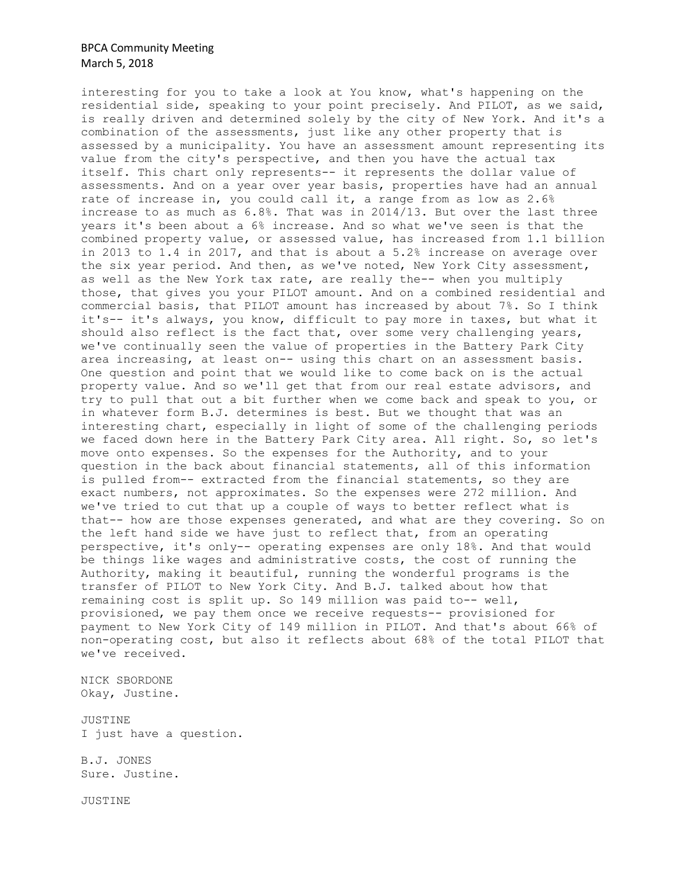interesting for you to take a look at You know, what's happening on the residential side, speaking to your point precisely. And PILOT, as we said, is really driven and determined solely by the city of New York. And it's a combination of the assessments, just like any other property that is assessed by a municipality. You have an assessment amount representing its value from the city's perspective, and then you have the actual tax itself. This chart only represents-- it represents the dollar value of assessments. And on a year over year basis, properties have had an annual rate of increase in, you could call it, a range from as low as 2.6% increase to as much as 6.8%. That was in 2014/13. But over the last three years it's been about a 6% increase. And so what we've seen is that the combined property value, or assessed value, has increased from 1.1 billion in 2013 to 1.4 in 2017, and that is about a 5.2% increase on average over the six year period. And then, as we've noted, New York City assessment, as well as the New York tax rate, are really the-- when you multiply those, that gives you your PILOT amount. And on a combined residential and commercial basis, that PILOT amount has increased by about 7%. So I think it's-- it's always, you know, difficult to pay more in taxes, but what it should also reflect is the fact that, over some very challenging years, we've continually seen the value of properties in the Battery Park City area increasing, at least on-- using this chart on an assessment basis. One question and point that we would like to come back on is the actual property value. And so we'll get that from our real estate advisors, and try to pull that out a bit further when we come back and speak to you, or in whatever form B.J. determines is best. But we thought that was an interesting chart, especially in light of some of the challenging periods we faced down here in the Battery Park City area. All right. So, so let's move onto expenses. So the expenses for the Authority, and to your question in the back about financial statements, all of this information is pulled from-- extracted from the financial statements, so they are exact numbers, not approximates. So the expenses were 272 million. And we've tried to cut that up a couple of ways to better reflect what is that-- how are those expenses generated, and what are they covering. So on the left hand side we have just to reflect that, from an operating perspective, it's only-- operating expenses are only 18%. And that would be things like wages and administrative costs, the cost of running the Authority, making it beautiful, running the wonderful programs is the transfer of PILOT to New York City. And B.J. talked about how that remaining cost is split up. So 149 million was paid to-- well, provisioned, we pay them once we receive requests-- provisioned for payment to New York City of 149 million in PILOT. And that's about 66% of non-operating cost, but also it reflects about 68% of the total PILOT that we've received.

NICK SBORDONE Okay, Justine.

JUSTINE I just have a question.

B.J. JONES Sure. Justine.

JUSTINE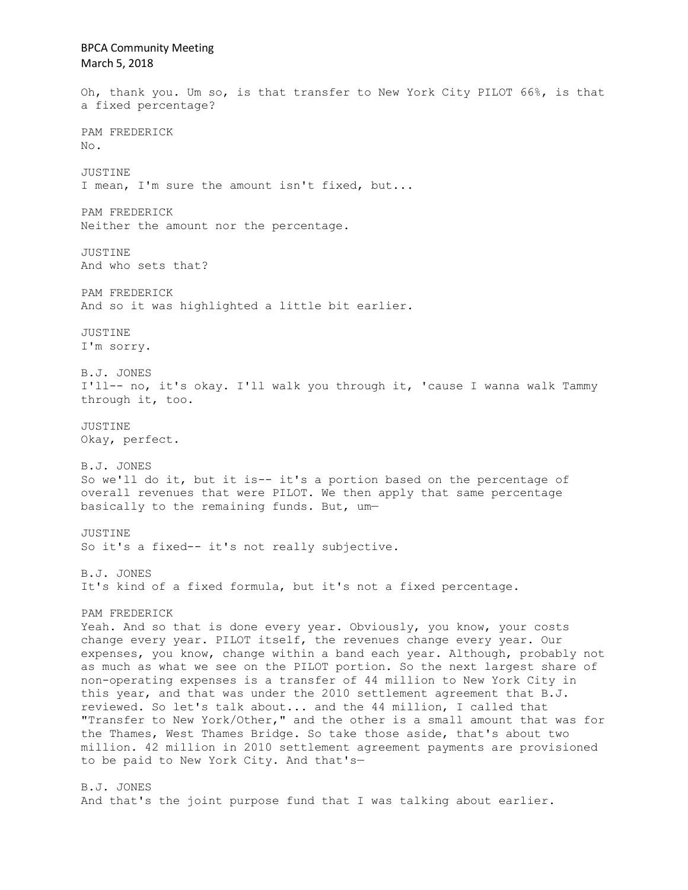BPCA Community Meeting March 5, 2018 Oh, thank you. Um so, is that transfer to New York City PILOT 66%, is that a fixed percentage? PAM FREDERICK No. JUSTINE I mean, I'm sure the amount isn't fixed, but... PAM FREDERICK Neither the amount nor the percentage. JUSTINE And who sets that? PAM FREDERICK And so it was highlighted a little bit earlier. JUSTINE I'm sorry. B.J. JONES I'll-- no, it's okay. I'll walk you through it, 'cause I wanna walk Tammy through it, too. JUSTINE Okay, perfect. B.J. JONES So we'll do it, but it is-- it's a portion based on the percentage of overall revenues that were PILOT. We then apply that same percentage basically to the remaining funds. But, um— JUSTINE So it's a fixed-- it's not really subjective. B.J. JONES It's kind of a fixed formula, but it's not a fixed percentage. PAM FREDERICK Yeah. And so that is done every year. Obviously, you know, your costs change every year. PILOT itself, the revenues change every year. Our expenses, you know, change within a band each year. Although, probably not as much as what we see on the PILOT portion. So the next largest share of non-operating expenses is a transfer of 44 million to New York City in this year, and that was under the 2010 settlement agreement that B.J. reviewed. So let's talk about... and the 44 million, I called that "Transfer to New York/Other," and the other is a small amount that was for the Thames, West Thames Bridge. So take those aside, that's about two million. 42 million in 2010 settlement agreement payments are provisioned to be paid to New York City. And that's— B.J. JONES And that's the joint purpose fund that I was talking about earlier.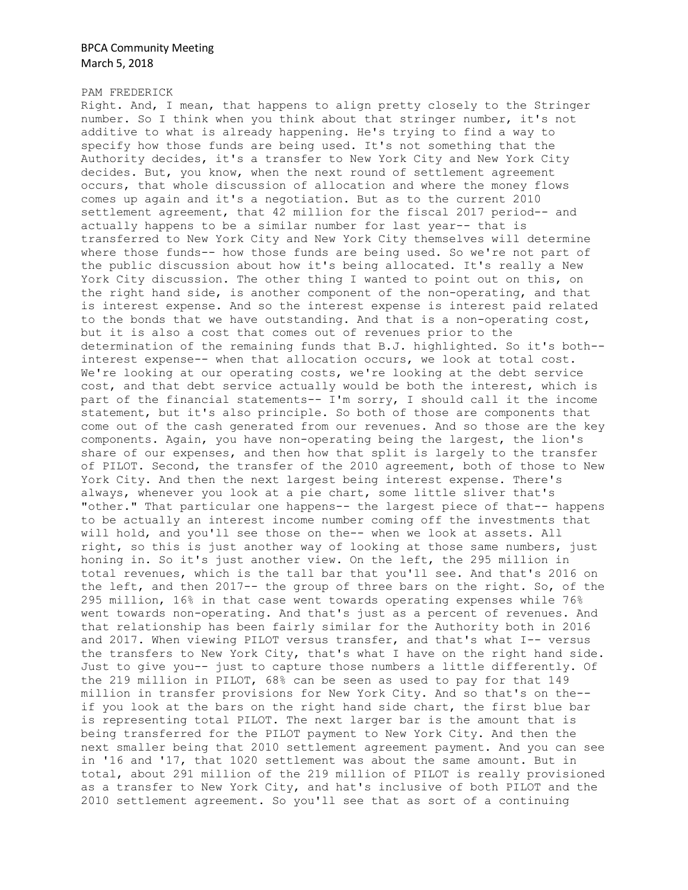### PAM FREDERICK

Right. And, I mean, that happens to align pretty closely to the Stringer number. So I think when you think about that stringer number, it's not additive to what is already happening. He's trying to find a way to specify how those funds are being used. It's not something that the Authority decides, it's a transfer to New York City and New York City decides. But, you know, when the next round of settlement agreement occurs, that whole discussion of allocation and where the money flows comes up again and it's a negotiation. But as to the current 2010 settlement agreement, that 42 million for the fiscal 2017 period-- and actually happens to be a similar number for last year-- that is transferred to New York City and New York City themselves will determine where those funds-- how those funds are being used. So we're not part of the public discussion about how it's being allocated. It's really a New York City discussion. The other thing I wanted to point out on this, on the right hand side, is another component of the non-operating, and that is interest expense. And so the interest expense is interest paid related to the bonds that we have outstanding. And that is a non-operating cost, but it is also a cost that comes out of revenues prior to the determination of the remaining funds that B.J. highlighted. So it's both- interest expense-- when that allocation occurs, we look at total cost. We're looking at our operating costs, we're looking at the debt service cost, and that debt service actually would be both the interest, which is part of the financial statements-- I'm sorry, I should call it the income statement, but it's also principle. So both of those are components that come out of the cash generated from our revenues. And so those are the key components. Again, you have non-operating being the largest, the lion's share of our expenses, and then how that split is largely to the transfer of PILOT. Second, the transfer of the 2010 agreement, both of those to New York City. And then the next largest being interest expense. There's always, whenever you look at a pie chart, some little sliver that's "other." That particular one happens-- the largest piece of that-- happens to be actually an interest income number coming off the investments that will hold, and you'll see those on the-- when we look at assets. All right, so this is just another way of looking at those same numbers, just honing in. So it's just another view. On the left, the 295 million in total revenues, which is the tall bar that you'll see. And that's 2016 on the left, and then 2017-- the group of three bars on the right. So, of the 295 million, 16% in that case went towards operating expenses while 76% went towards non-operating. And that's just as a percent of revenues. And that relationship has been fairly similar for the Authority both in 2016 and 2017. When viewing PILOT versus transfer, and that's what I-- versus the transfers to New York City, that's what I have on the right hand side. Just to give you-- just to capture those numbers a little differently. Of the 219 million in PILOT, 68% can be seen as used to pay for that 149 million in transfer provisions for New York City. And so that's on the- if you look at the bars on the right hand side chart, the first blue bar is representing total PILOT. The next larger bar is the amount that is being transferred for the PILOT payment to New York City. And then the next smaller being that 2010 settlement agreement payment. And you can see in '16 and '17, that 1020 settlement was about the same amount. But in total, about 291 million of the 219 million of PILOT is really provisioned as a transfer to New York City, and hat's inclusive of both PILOT and the 2010 settlement agreement. So you'll see that as sort of a continuing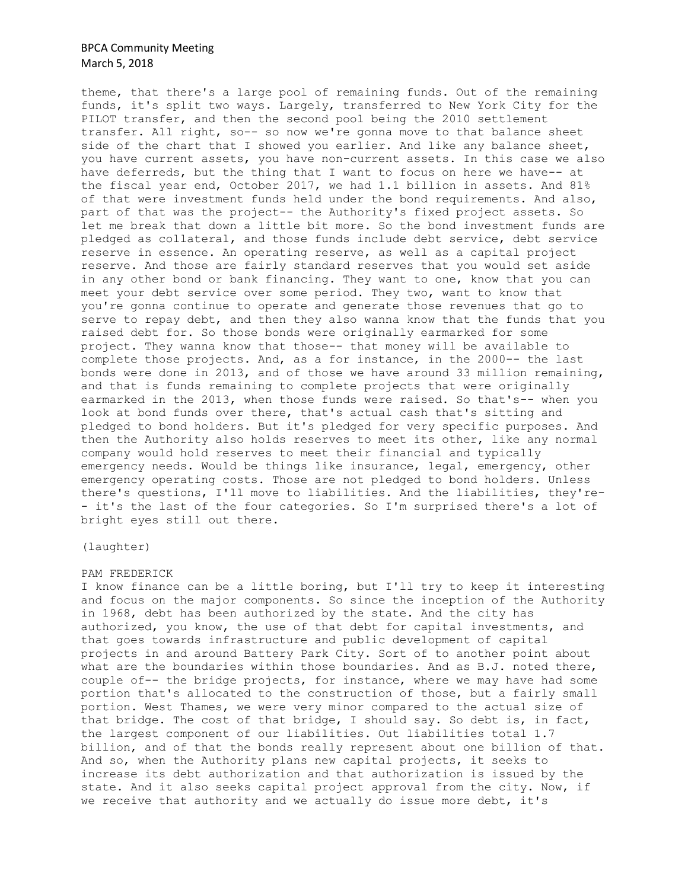theme, that there's a large pool of remaining funds. Out of the remaining funds, it's split two ways. Largely, transferred to New York City for the PILOT transfer, and then the second pool being the 2010 settlement transfer. All right, so-- so now we're gonna move to that balance sheet side of the chart that I showed you earlier. And like any balance sheet, you have current assets, you have non-current assets. In this case we also have deferreds, but the thing that I want to focus on here we have-- at the fiscal year end, October 2017, we had 1.1 billion in assets. And 81% of that were investment funds held under the bond requirements. And also, part of that was the project-- the Authority's fixed project assets. So let me break that down a little bit more. So the bond investment funds are pledged as collateral, and those funds include debt service, debt service reserve in essence. An operating reserve, as well as a capital project reserve. And those are fairly standard reserves that you would set aside in any other bond or bank financing. They want to one, know that you can meet your debt service over some period. They two, want to know that you're gonna continue to operate and generate those revenues that go to serve to repay debt, and then they also wanna know that the funds that you raised debt for. So those bonds were originally earmarked for some project. They wanna know that those-- that money will be available to complete those projects. And, as a for instance, in the 2000-- the last bonds were done in 2013, and of those we have around 33 million remaining, and that is funds remaining to complete projects that were originally earmarked in the 2013, when those funds were raised. So that's-- when you look at bond funds over there, that's actual cash that's sitting and pledged to bond holders. But it's pledged for very specific purposes. And then the Authority also holds reserves to meet its other, like any normal company would hold reserves to meet their financial and typically emergency needs. Would be things like insurance, legal, emergency, other emergency operating costs. Those are not pledged to bond holders. Unless there's questions, I'll move to liabilities. And the liabilities, they're- - it's the last of the four categories. So I'm surprised there's a lot of bright eyes still out there.

(laughter)

#### PAM FREDERICK

I know finance can be a little boring, but I'll try to keep it interesting and focus on the major components. So since the inception of the Authority in 1968, debt has been authorized by the state. And the city has authorized, you know, the use of that debt for capital investments, and that goes towards infrastructure and public development of capital projects in and around Battery Park City. Sort of to another point about what are the boundaries within those boundaries. And as B.J. noted there, couple of-- the bridge projects, for instance, where we may have had some portion that's allocated to the construction of those, but a fairly small portion. West Thames, we were very minor compared to the actual size of that bridge. The cost of that bridge, I should say. So debt is, in fact, the largest component of our liabilities. Out liabilities total 1.7 billion, and of that the bonds really represent about one billion of that. And so, when the Authority plans new capital projects, it seeks to increase its debt authorization and that authorization is issued by the state. And it also seeks capital project approval from the city. Now, if we receive that authority and we actually do issue more debt, it's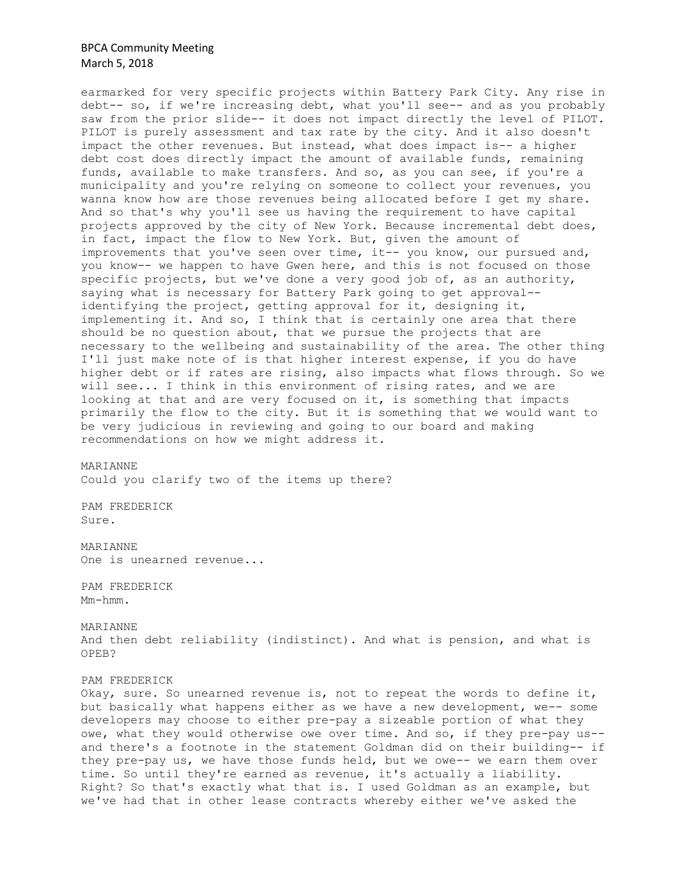earmarked for very specific projects within Battery Park City. Any rise in debt-- so, if we're increasing debt, what you'll see-- and as you probably saw from the prior slide-- it does not impact directly the level of PILOT. PILOT is purely assessment and tax rate by the city. And it also doesn't impact the other revenues. But instead, what does impact is-- a higher debt cost does directly impact the amount of available funds, remaining funds, available to make transfers. And so, as you can see, if you're a municipality and you're relying on someone to collect your revenues, you wanna know how are those revenues being allocated before I get my share. And so that's why you'll see us having the requirement to have capital projects approved by the city of New York. Because incremental debt does, in fact, impact the flow to New York. But, given the amount of improvements that you've seen over time, it-- you know, our pursued and, you know-- we happen to have Gwen here, and this is not focused on those specific projects, but we've done a very good job of, as an authority, saying what is necessary for Battery Park going to get approval- identifying the project, getting approval for it, designing it, implementing it. And so, I think that is certainly one area that there should be no question about, that we pursue the projects that are necessary to the wellbeing and sustainability of the area. The other thing I'll just make note of is that higher interest expense, if you do have higher debt or if rates are rising, also impacts what flows through. So we will see... I think in this environment of rising rates, and we are looking at that and are very focused on it, is something that impacts primarily the flow to the city. But it is something that we would want to be very judicious in reviewing and going to our board and making recommendations on how we might address it.

MARIANNE Could you clarify two of the items up there?

PAM FREDERICK Sure.

MARIANNE One is unearned revenue...

PAM FREDERICK Mm-hmm.

### MARIANNE

And then debt reliability (indistinct). And what is pension, and what is OPEB?

### PAM FREDERICK

Okay, sure. So unearned revenue is, not to repeat the words to define it, but basically what happens either as we have a new development, we-- some developers may choose to either pre-pay a sizeable portion of what they owe, what they would otherwise owe over time. And so, if they pre-pay us- and there's a footnote in the statement Goldman did on their building-- if they pre-pay us, we have those funds held, but we owe-- we earn them over time. So until they're earned as revenue, it's actually a liability. Right? So that's exactly what that is. I used Goldman as an example, but we've had that in other lease contracts whereby either we've asked the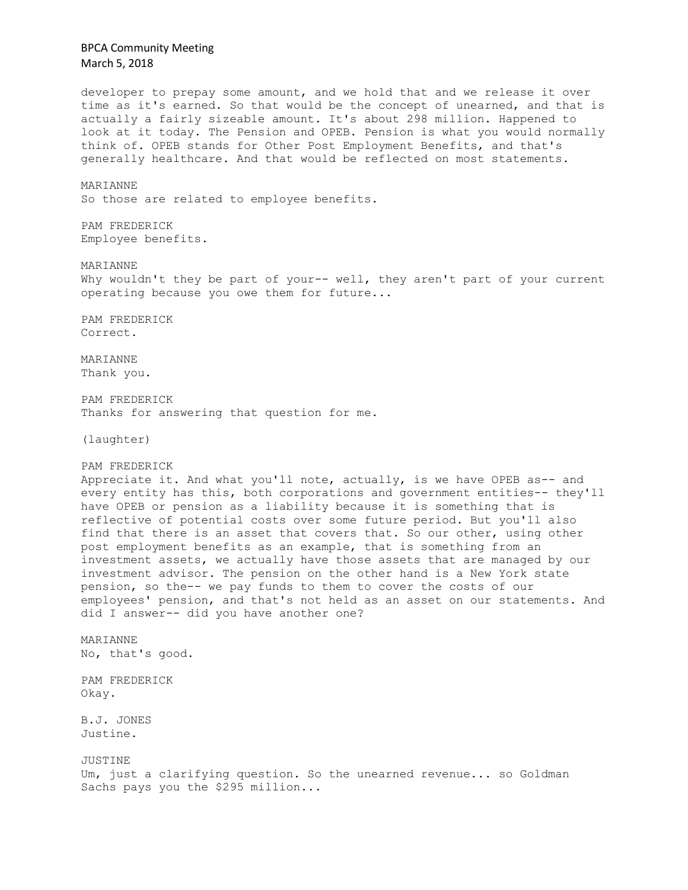developer to prepay some amount, and we hold that and we release it over time as it's earned. So that would be the concept of unearned, and that is actually a fairly sizeable amount. It's about 298 million. Happened to look at it today. The Pension and OPEB. Pension is what you would normally think of. OPEB stands for Other Post Employment Benefits, and that's generally healthcare. And that would be reflected on most statements. MARIANNE So those are related to employee benefits. PAM FREDERICK Employee benefits. MARIANNE Why wouldn't they be part of your-- well, they aren't part of your current operating because you owe them for future... PAM FREDERICK Correct. MARIANNE Thank you. PAM FREDERICK Thanks for answering that question for me. (laughter) PAM FREDERICK Appreciate it. And what you'll note, actually, is we have OPEB as-- and every entity has this, both corporations and government entities-- they'll have OPEB or pension as a liability because it is something that is reflective of potential costs over some future period. But you'll also find that there is an asset that covers that. So our other, using other post employment benefits as an example, that is something from an investment assets, we actually have those assets that are managed by our investment advisor. The pension on the other hand is a New York state pension, so the-- we pay funds to them to cover the costs of our employees' pension, and that's not held as an asset on our statements. And did I answer-- did you have another one? MARIANNE No, that's good. PAM FREDERICK Okay. B.J. JONES Justine. JUSTINE Um, just a clarifying question. So the unearned revenue... so Goldman Sachs pays you the \$295 million...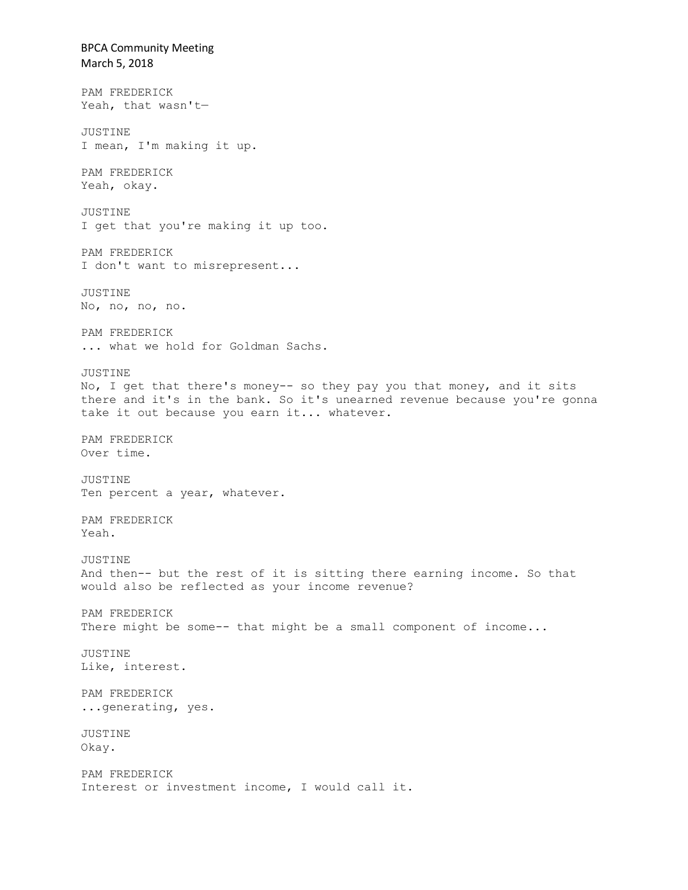BPCA Community Meeting March 5, 2018 PAM FREDERICK Yeah, that wasn't— JUSTINE I mean, I'm making it up. PAM FREDERICK Yeah, okay. JUSTINE I get that you're making it up too. PAM FREDERICK I don't want to misrepresent... JUSTINE No, no, no, no. PAM FREDERICK ... what we hold for Goldman Sachs. JUSTINE No, I get that there's money-- so they pay you that money, and it sits there and it's in the bank. So it's unearned revenue because you're gonna take it out because you earn it... whatever. PAM FREDERICK Over time. JUSTINE Ten percent a year, whatever. PAM FREDERICK Yeah. JUSTINE And then-- but the rest of it is sitting there earning income. So that would also be reflected as your income revenue? PAM FREDERICK There might be some-- that might be a small component of income... JUSTINE Like, interest. PAM FREDERICK ...generating, yes. JUSTINE Okay. PAM FREDERICK Interest or investment income, I would call it.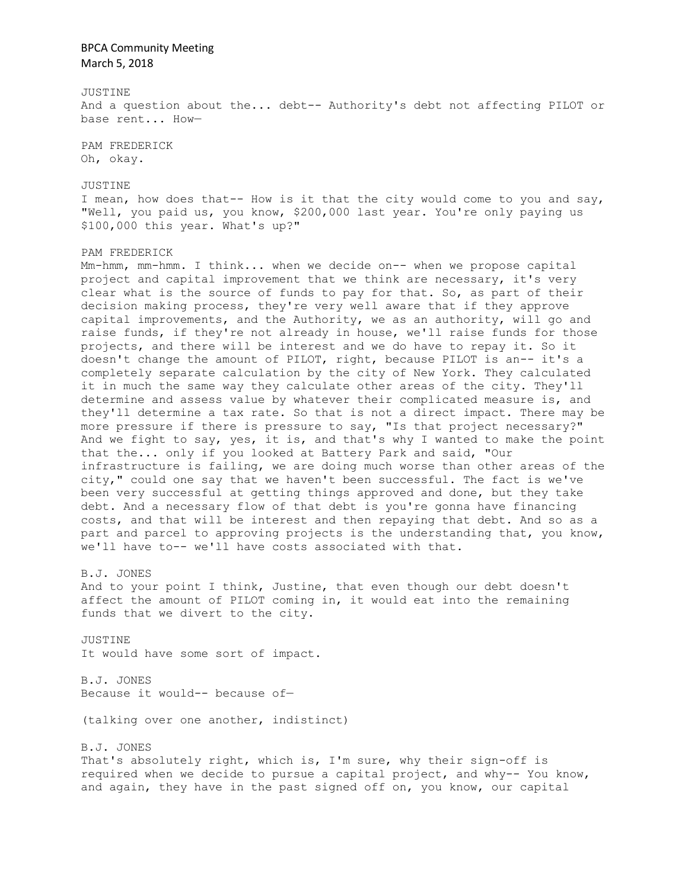#### JUSTINE

And a question about the... debt-- Authority's debt not affecting PILOT or base rent... How—

PAM FREDERICK Oh, okay.

JUSTINE I mean, how does that-- How is it that the city would come to you and say, "Well, you paid us, you know, \$200,000 last year. You're only paying us \$100,000 this year. What's up?"

#### PAM FREDERICK

Mm-hmm, mm-hmm. I think... when we decide on-- when we propose capital project and capital improvement that we think are necessary, it's very clear what is the source of funds to pay for that. So, as part of their decision making process, they're very well aware that if they approve capital improvements, and the Authority, we as an authority, will go and raise funds, if they're not already in house, we'll raise funds for those projects, and there will be interest and we do have to repay it. So it doesn't change the amount of PILOT, right, because PILOT is an-- it's a completely separate calculation by the city of New York. They calculated it in much the same way they calculate other areas of the city. They'll determine and assess value by whatever their complicated measure is, and they'll determine a tax rate. So that is not a direct impact. There may be more pressure if there is pressure to say, "Is that project necessary?" And we fight to say, yes, it is, and that's why I wanted to make the point that the... only if you looked at Battery Park and said, "Our infrastructure is failing, we are doing much worse than other areas of the city," could one say that we haven't been successful. The fact is we've been very successful at getting things approved and done, but they take debt. And a necessary flow of that debt is you're gonna have financing costs, and that will be interest and then repaying that debt. And so as a part and parcel to approving projects is the understanding that, you know, we'll have to-- we'll have costs associated with that.

#### B.J. JONES

And to your point I think, Justine, that even though our debt doesn't affect the amount of PILOT coming in, it would eat into the remaining funds that we divert to the city.

JUSTINE It would have some sort of impact.

B.J. JONES Because it would-- because of—

(talking over one another, indistinct)

### B.J. JONES

That's absolutely right, which is, I'm sure, why their sign-off is required when we decide to pursue a capital project, and why-- You know, and again, they have in the past signed off on, you know, our capital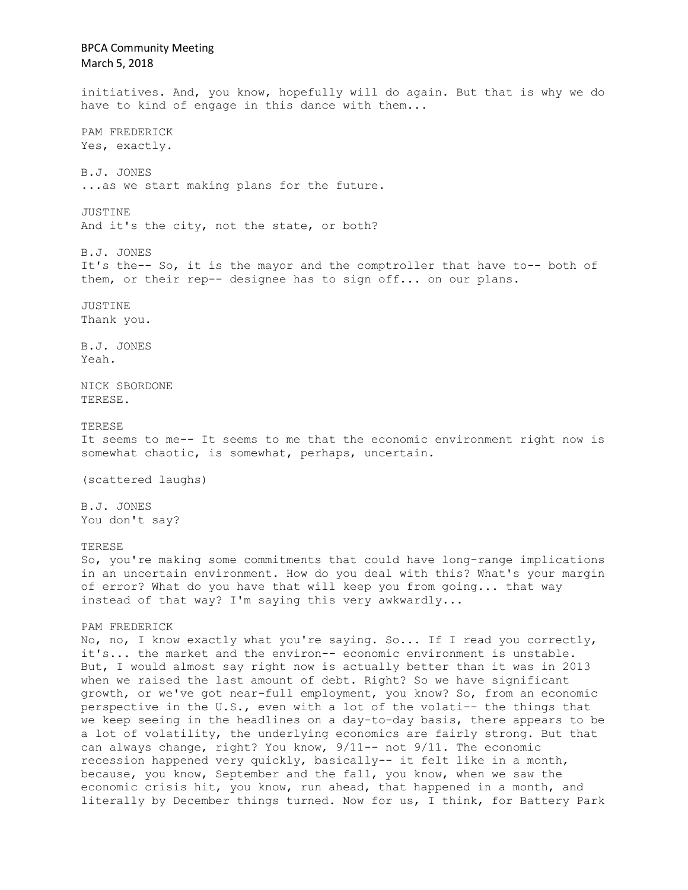BPCA Community Meeting March 5, 2018 initiatives. And, you know, hopefully will do again. But that is why we do have to kind of engage in this dance with them... PAM FREDERICK Yes, exactly. B.J. JONES ...as we start making plans for the future. JUSTINE And it's the city, not the state, or both? B.J. JONES It's the-- So, it is the mayor and the comptroller that have to-- both of them, or their rep-- designee has to sign off... on our plans. JUSTINE Thank you. B.J. JONES Yeah. NICK SBORDONE TERESE. TERESE It seems to me-- It seems to me that the economic environment right now is somewhat chaotic, is somewhat, perhaps, uncertain. (scattered laughs) B.J. JONES You don't say? TERESE So, you're making some commitments that could have long-range implications in an uncertain environment. How do you deal with this? What's your margin of error? What do you have that will keep you from going... that way instead of that way? I'm saying this very awkwardly... PAM FREDERICK No, no, I know exactly what you're saying. So... If I read you correctly, it's... the market and the environ-- economic environment is unstable. But, I would almost say right now is actually better than it was in 2013 when we raised the last amount of debt. Right? So we have significant growth, or we've got near-full employment, you know? So, from an economic perspective in the U.S., even with a lot of the volati-- the things that we keep seeing in the headlines on a day-to-day basis, there appears to be a lot of volatility, the underlying economics are fairly strong. But that can always change, right? You know, 9/11-- not 9/11. The economic recession happened very quickly, basically-- it felt like in a month, because, you know, September and the fall, you know, when we saw the economic crisis hit, you know, run ahead, that happened in a month, and literally by December things turned. Now for us, I think, for Battery Park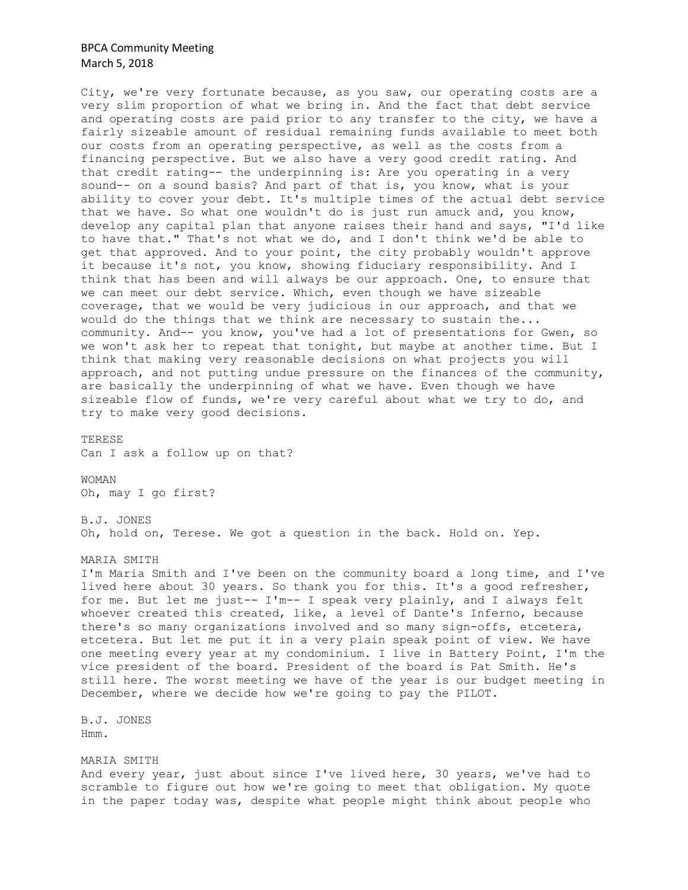City, we're very fortunate because, as you saw, our operating costs are a very slim proportion of what we bring in. And the fact that debt service and operating costs are paid prior to any transfer to the city, we have a fairly sizeable amount of residual remaining funds available to meet both our costs from an operating perspective, as well as the costs from a financing perspective. But we also have a very good credit rating. And that credit rating-- the underpinning is: Are you operating in a very sound-- on a sound basis? And part of that is, you know, what is your ability to cover your debt. It's multiple times of the actual debt service that we have. So what one wouldn't do is just run amuck and, you know, develop any capital plan that anyone raises their hand and says, "I'd like to have that." That's not what we do, and I don't think we'd be able to get that approved. And to your point, the city probably wouldn't approve it because it's not, you know, showing fiduciary responsibility. And I think that has been and will always be our approach. One, to ensure that we can meet our debt service. Which, even though we have sizeable coverage, that we would be very judicious in our approach, and that we would do the things that we think are necessary to sustain the... community. And-- you know, you've had a lot of presentations for Gwen, so we won't ask her to repeat that tonight, but maybe at another time. But I think that making very reasonable decisions on what projects you will approach, and not putting undue pressure on the finances of the community, are basically the underpinning of what we have. Even though we have sizeable flow of funds, we're very careful about what we try to do, and try to make very good decisions.

TERESE

Can I ask a follow up on that?

WOMAN Oh, may I go first?

B.J. JONES Oh, hold on, Terese. We got a question in the back. Hold on. Yep.

MARIA SMITH

I'm Maria Smith and I've been on the community board a long time, and I've lived here about 30 years. So thank you for this. It's a good refresher, for me. But let me just-- I'm-- I speak very plainly, and I always felt whoever created this created, like, a level of Dante's Inferno, because there's so many organizations involved and so many sign-offs, etcetera, etcetera. But let me put it in a very plain speak point of view. We have one meeting every year at my condominium. I live in Battery Point, I'm the vice president of the board. President of the board is Pat Smith. He's still here. The worst meeting we have of the year is our budget meeting in December, where we decide how we're going to pay the PILOT.

B.J. JONES Hmm.

MARIA SMITH And every year, just about since I've lived here, 30 years, we've had to scramble to figure out how we're going to meet that obligation. My quote in the paper today was, despite what people might think about people who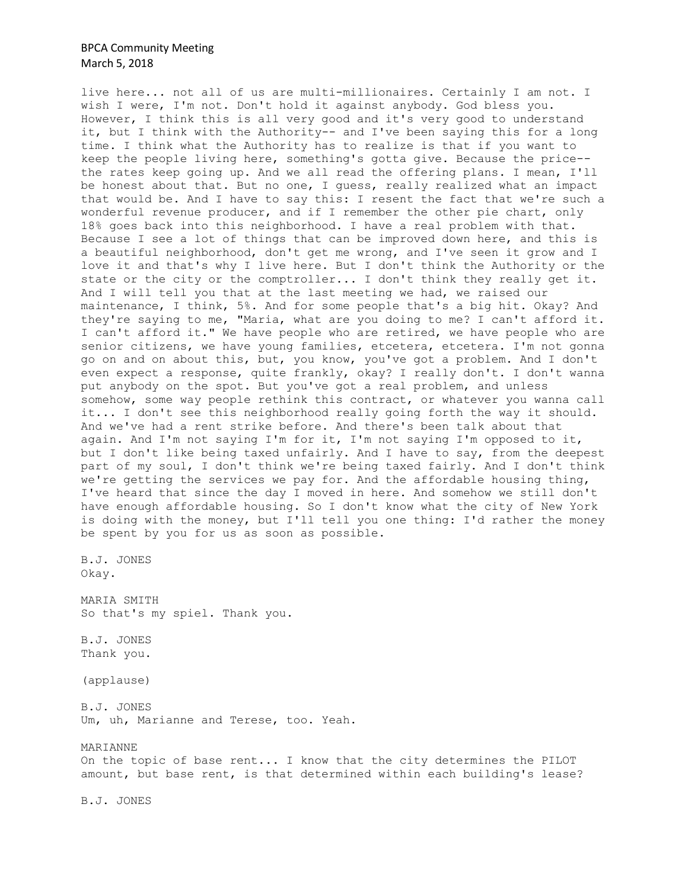live here... not all of us are multi-millionaires. Certainly I am not. I wish I were, I'm not. Don't hold it against anybody. God bless you. However, I think this is all very good and it's very good to understand it, but I think with the Authority-- and I've been saying this for a long time. I think what the Authority has to realize is that if you want to keep the people living here, something's gotta give. Because the price- the rates keep going up. And we all read the offering plans. I mean, I'll be honest about that. But no one, I guess, really realized what an impact that would be. And I have to say this: I resent the fact that we're such a wonderful revenue producer, and if I remember the other pie chart, only 18% goes back into this neighborhood. I have a real problem with that. Because I see a lot of things that can be improved down here, and this is a beautiful neighborhood, don't get me wrong, and I've seen it grow and I love it and that's why I live here. But I don't think the Authority or the state or the city or the comptroller... I don't think they really get it. And I will tell you that at the last meeting we had, we raised our maintenance, I think, 5%. And for some people that's a big hit. Okay? And they're saying to me, "Maria, what are you doing to me? I can't afford it. I can't afford it." We have people who are retired, we have people who are senior citizens, we have young families, etcetera, etcetera. I'm not gonna go on and on about this, but, you know, you've got a problem. And I don't even expect a response, quite frankly, okay? I really don't. I don't wanna put anybody on the spot. But you've got a real problem, and unless somehow, some way people rethink this contract, or whatever you wanna call it... I don't see this neighborhood really going forth the way it should. And we've had a rent strike before. And there's been talk about that again. And I'm not saying I'm for it, I'm not saying I'm opposed to it, but I don't like being taxed unfairly. And I have to say, from the deepest part of my soul, I don't think we're being taxed fairly. And I don't think we're getting the services we pay for. And the affordable housing thing, I've heard that since the day I moved in here. And somehow we still don't have enough affordable housing. So I don't know what the city of New York is doing with the money, but I'll tell you one thing: I'd rather the money be spent by you for us as soon as possible.

B.J. JONES Okay.

MARIA SMITH So that's my spiel. Thank you.

B.J. JONES Thank you.

(applause)

B.J. JONES Um, uh, Marianne and Terese, too. Yeah.

### MARIANNE

On the topic of base rent... I know that the city determines the PILOT amount, but base rent, is that determined within each building's lease?

B.J. JONES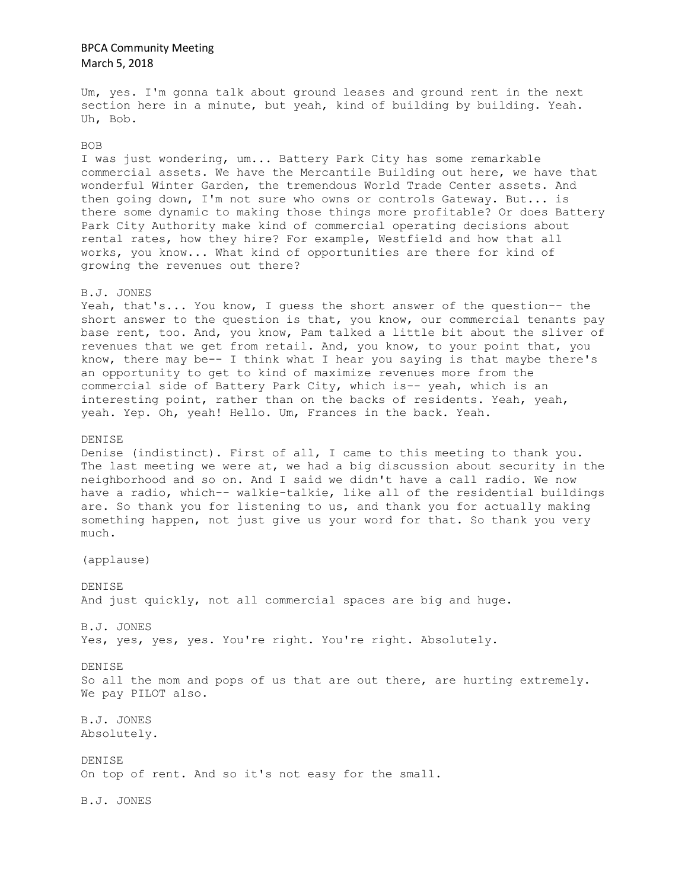Um, yes. I'm gonna talk about ground leases and ground rent in the next section here in a minute, but yeah, kind of building by building. Yeah. Uh, Bob.

#### BOB

I was just wondering, um... Battery Park City has some remarkable commercial assets. We have the Mercantile Building out here, we have that wonderful Winter Garden, the tremendous World Trade Center assets. And then going down, I'm not sure who owns or controls Gateway. But... is there some dynamic to making those things more profitable? Or does Battery Park City Authority make kind of commercial operating decisions about rental rates, how they hire? For example, Westfield and how that all works, you know... What kind of opportunities are there for kind of growing the revenues out there?

#### B.J. JONES

Yeah, that's... You know, I guess the short answer of the question-- the short answer to the question is that, you know, our commercial tenants pay base rent, too. And, you know, Pam talked a little bit about the sliver of revenues that we get from retail. And, you know, to your point that, you know, there may be-- I think what I hear you saying is that maybe there's an opportunity to get to kind of maximize revenues more from the commercial side of Battery Park City, which is-- yeah, which is an interesting point, rather than on the backs of residents. Yeah, yeah, yeah. Yep. Oh, yeah! Hello. Um, Frances in the back. Yeah.

### DENISE

Denise (indistinct). First of all, I came to this meeting to thank you. The last meeting we were at, we had a big discussion about security in the neighborhood and so on. And I said we didn't have a call radio. We now have a radio, which-- walkie-talkie, like all of the residential buildings are. So thank you for listening to us, and thank you for actually making something happen, not just give us your word for that. So thank you very much.

(applause)

DENISE And just quickly, not all commercial spaces are big and huge.

B.J. JONES Yes, yes, yes, yes. You're right. You're right. Absolutely.

DENISE So all the mom and pops of us that are out there, are hurting extremely. We pay PILOT also.

B.J. JONES Absolutely.

DENISE On top of rent. And so it's not easy for the small.

B.J. JONES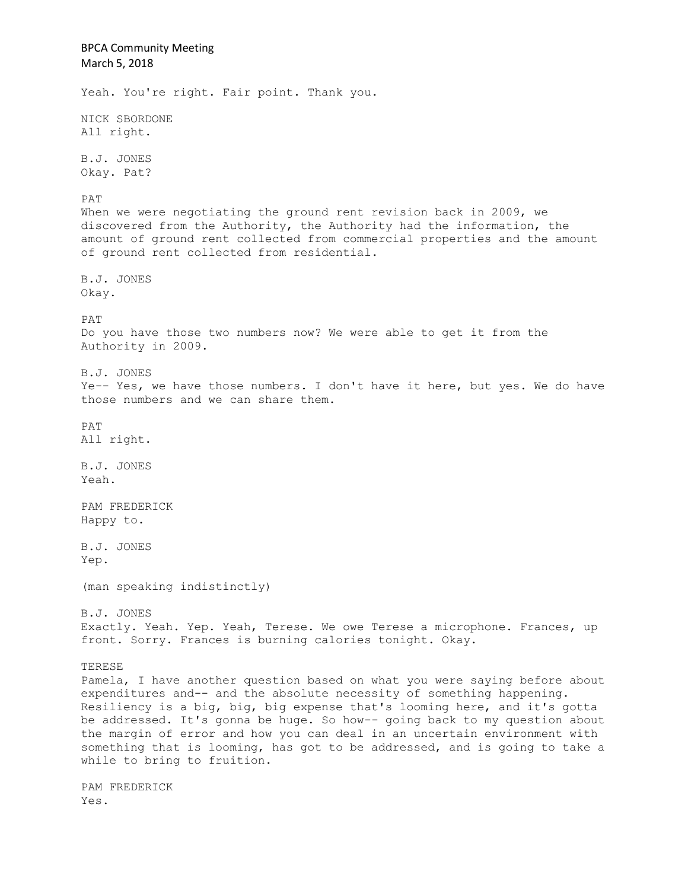BPCA Community Meeting March 5, 2018 Yeah. You're right. Fair point. Thank you. NICK SBORDONE All right. B.J. JONES Okay. Pat? PAT When we were negotiating the ground rent revision back in 2009, we discovered from the Authority, the Authority had the information, the amount of ground rent collected from commercial properties and the amount of ground rent collected from residential. B.J. JONES Okay. PAT Do you have those two numbers now? We were able to get it from the Authority in 2009. B.J. JONES Ye-- Yes, we have those numbers. I don't have it here, but yes. We do have those numbers and we can share them. PAT All right. B.J. JONES Yeah. PAM FREDERICK Happy to. B.J. JONES Yep. (man speaking indistinctly) B.J. JONES Exactly. Yeah. Yep. Yeah, Terese. We owe Terese a microphone. Frances, up front. Sorry. Frances is burning calories tonight. Okay. TERESE Pamela, I have another question based on what you were saying before about expenditures and-- and the absolute necessity of something happening. Resiliency is a big, big, big expense that's looming here, and it's gotta be addressed. It's gonna be huge. So how-- going back to my question about the margin of error and how you can deal in an uncertain environment with something that is looming, has got to be addressed, and is going to take a while to bring to fruition. PAM FREDERICK Yes.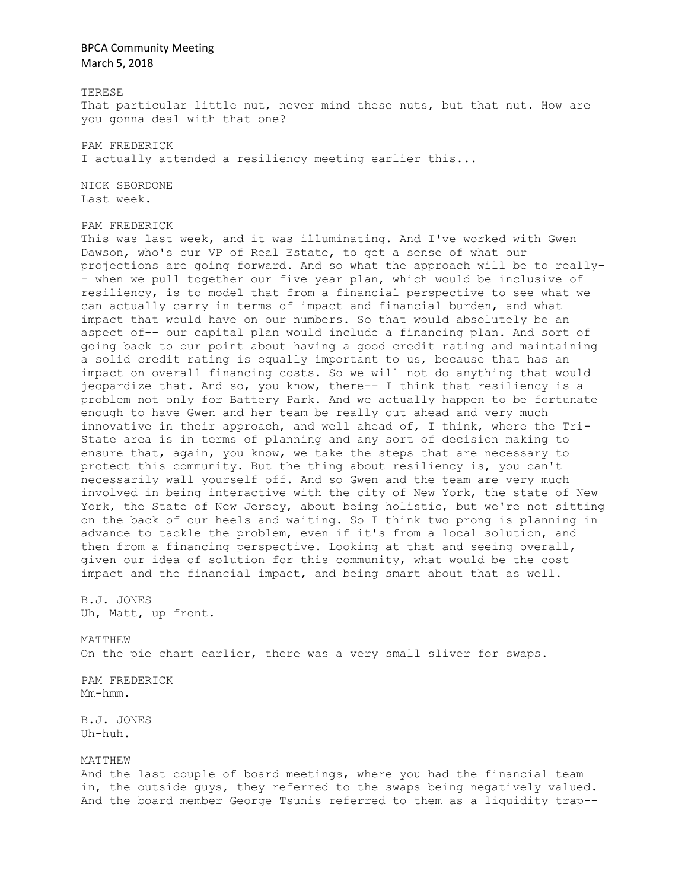TERESE

That particular little nut, never mind these nuts, but that nut. How are you gonna deal with that one?

PAM FREDERICK

I actually attended a resiliency meeting earlier this...

NICK SBORDONE Last week.

PAM FREDERICK

This was last week, and it was illuminating. And I've worked with Gwen Dawson, who's our VP of Real Estate, to get a sense of what our projections are going forward. And so what the approach will be to really- - when we pull together our five year plan, which would be inclusive of resiliency, is to model that from a financial perspective to see what we can actually carry in terms of impact and financial burden, and what impact that would have on our numbers. So that would absolutely be an aspect of-- our capital plan would include a financing plan. And sort of going back to our point about having a good credit rating and maintaining a solid credit rating is equally important to us, because that has an impact on overall financing costs. So we will not do anything that would jeopardize that. And so, you know, there-- I think that resiliency is a problem not only for Battery Park. And we actually happen to be fortunate enough to have Gwen and her team be really out ahead and very much innovative in their approach, and well ahead of, I think, where the Tri-State area is in terms of planning and any sort of decision making to ensure that, again, you know, we take the steps that are necessary to protect this community. But the thing about resiliency is, you can't necessarily wall yourself off. And so Gwen and the team are very much involved in being interactive with the city of New York, the state of New York, the State of New Jersey, about being holistic, but we're not sitting on the back of our heels and waiting. So I think two prong is planning in advance to tackle the problem, even if it's from a local solution, and then from a financing perspective. Looking at that and seeing overall, given our idea of solution for this community, what would be the cost impact and the financial impact, and being smart about that as well.

B.J. JONES Uh, Matt, up front.

MATTHEW On the pie chart earlier, there was a very small sliver for swaps.

PAM FREDERICK Mm-hmm.

B.J. JONES Uh-huh.

MATTHEW

And the last couple of board meetings, where you had the financial team in, the outside guys, they referred to the swaps being negatively valued. And the board member George Tsunis referred to them as a liquidity trap--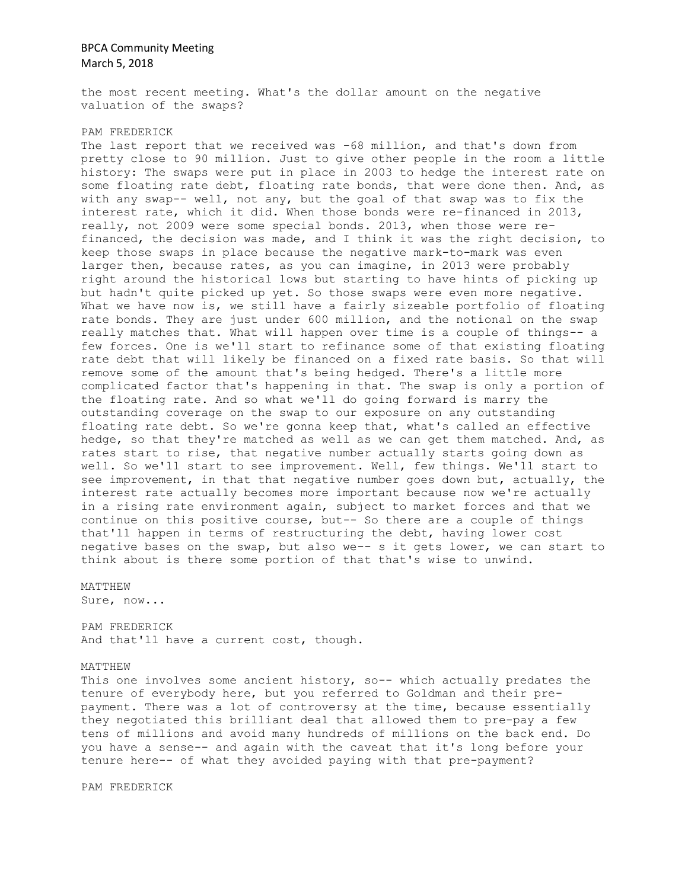the most recent meeting. What's the dollar amount on the negative valuation of the swaps?

### PAM FREDERICK

The last report that we received was -68 million, and that's down from pretty close to 90 million. Just to give other people in the room a little history: The swaps were put in place in 2003 to hedge the interest rate on some floating rate debt, floating rate bonds, that were done then. And, as with any swap-- well, not any, but the goal of that swap was to fix the interest rate, which it did. When those bonds were re-financed in 2013, really, not 2009 were some special bonds. 2013, when those were refinanced, the decision was made, and I think it was the right decision, to keep those swaps in place because the negative mark-to-mark was even larger then, because rates, as you can imagine, in 2013 were probably right around the historical lows but starting to have hints of picking up but hadn't quite picked up yet. So those swaps were even more negative. What we have now is, we still have a fairly sizeable portfolio of floating rate bonds. They are just under 600 million, and the notional on the swap really matches that. What will happen over time is a couple of things-- a few forces. One is we'll start to refinance some of that existing floating rate debt that will likely be financed on a fixed rate basis. So that will remove some of the amount that's being hedged. There's a little more complicated factor that's happening in that. The swap is only a portion of the floating rate. And so what we'll do going forward is marry the outstanding coverage on the swap to our exposure on any outstanding floating rate debt. So we're gonna keep that, what's called an effective hedge, so that they're matched as well as we can get them matched. And, as rates start to rise, that negative number actually starts going down as well. So we'll start to see improvement. Well, few things. We'll start to see improvement, in that that negative number goes down but, actually, the interest rate actually becomes more important because now we're actually in a rising rate environment again, subject to market forces and that we continue on this positive course, but-- So there are a couple of things that'll happen in terms of restructuring the debt, having lower cost negative bases on the swap, but also we-- s it gets lower, we can start to think about is there some portion of that that's wise to unwind.

MATTHEW

Sure, now...

PAM FREDERICK And that'll have a current cost, though.

#### MATTHEW

This one involves some ancient history, so-- which actually predates the tenure of everybody here, but you referred to Goldman and their prepayment. There was a lot of controversy at the time, because essentially they negotiated this brilliant deal that allowed them to pre-pay a few tens of millions and avoid many hundreds of millions on the back end. Do you have a sense-- and again with the caveat that it's long before your tenure here-- of what they avoided paying with that pre-payment?

PAM FREDERICK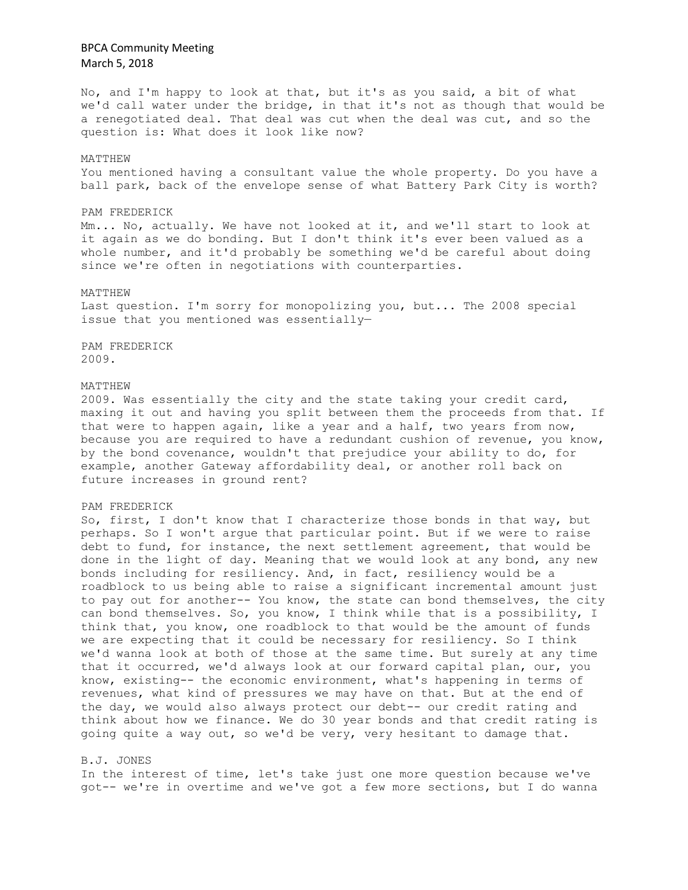No, and I'm happy to look at that, but it's as you said, a bit of what we'd call water under the bridge, in that it's not as though that would be a renegotiated deal. That deal was cut when the deal was cut, and so the question is: What does it look like now?

#### MATTHEW

You mentioned having a consultant value the whole property. Do you have a ball park, back of the envelope sense of what Battery Park City is worth?

#### PAM FREDERICK

Mm... No, actually. We have not looked at it, and we'll start to look at it again as we do bonding. But I don't think it's ever been valued as a whole number, and it'd probably be something we'd be careful about doing since we're often in negotiations with counterparties.

### MATTHEW

Last question. I'm sorry for monopolizing you, but... The 2008 special issue that you mentioned was essentially—

PAM FREDERICK 2009.

#### MATTHEW

2009. Was essentially the city and the state taking your credit card, maxing it out and having you split between them the proceeds from that. If that were to happen again, like a year and a half, two years from now, because you are required to have a redundant cushion of revenue, you know, by the bond covenance, wouldn't that prejudice your ability to do, for example, another Gateway affordability deal, or another roll back on future increases in ground rent?

#### PAM FREDERICK

So, first, I don't know that I characterize those bonds in that way, but perhaps. So I won't argue that particular point. But if we were to raise debt to fund, for instance, the next settlement agreement, that would be done in the light of day. Meaning that we would look at any bond, any new bonds including for resiliency. And, in fact, resiliency would be a roadblock to us being able to raise a significant incremental amount just to pay out for another-- You know, the state can bond themselves, the city can bond themselves. So, you know, I think while that is a possibility, I think that, you know, one roadblock to that would be the amount of funds we are expecting that it could be necessary for resiliency. So I think we'd wanna look at both of those at the same time. But surely at any time that it occurred, we'd always look at our forward capital plan, our, you know, existing-- the economic environment, what's happening in terms of revenues, what kind of pressures we may have on that. But at the end of the day, we would also always protect our debt-- our credit rating and think about how we finance. We do 30 year bonds and that credit rating is going quite a way out, so we'd be very, very hesitant to damage that.

### B.J. JONES

In the interest of time, let's take just one more question because we've got-- we're in overtime and we've got a few more sections, but I do wanna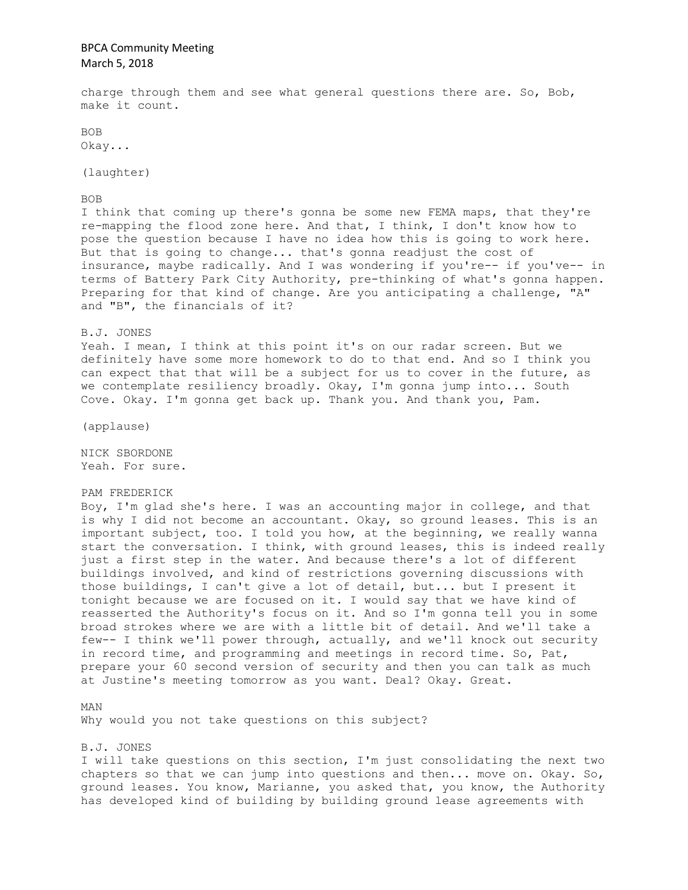charge through them and see what general questions there are. So, Bob, make it count.

BOB Okay...

(laughter)

BOB

I think that coming up there's gonna be some new FEMA maps, that they're re-mapping the flood zone here. And that, I think, I don't know how to pose the question because I have no idea how this is going to work here. But that is going to change... that's gonna readjust the cost of insurance, maybe radically. And I was wondering if you're-- if you've-- in terms of Battery Park City Authority, pre-thinking of what's gonna happen. Preparing for that kind of change. Are you anticipating a challenge, "A" and "B", the financials of it?

B.J. JONES

Yeah. I mean, I think at this point it's on our radar screen. But we definitely have some more homework to do to that end. And so I think you can expect that that will be a subject for us to cover in the future, as we contemplate resiliency broadly. Okay, I'm gonna jump into... South Cove. Okay. I'm gonna get back up. Thank you. And thank you, Pam.

(applause)

NICK SBORDONE Yeah. For sure.

#### PAM FREDERICK

Boy, I'm glad she's here. I was an accounting major in college, and that is why I did not become an accountant. Okay, so ground leases. This is an important subject, too. I told you how, at the beginning, we really wanna start the conversation. I think, with ground leases, this is indeed really just a first step in the water. And because there's a lot of different buildings involved, and kind of restrictions governing discussions with those buildings, I can't give a lot of detail, but... but I present it tonight because we are focused on it. I would say that we have kind of reasserted the Authority's focus on it. And so I'm gonna tell you in some broad strokes where we are with a little bit of detail. And we'll take a few-- I think we'll power through, actually, and we'll knock out security in record time, and programming and meetings in record time. So, Pat, prepare your 60 second version of security and then you can talk as much at Justine's meeting tomorrow as you want. Deal? Okay. Great.

MAN Why would you not take questions on this subject?

B.J. JONES

I will take questions on this section, I'm just consolidating the next two chapters so that we can jump into questions and then... move on. Okay. So, ground leases. You know, Marianne, you asked that, you know, the Authority has developed kind of building by building ground lease agreements with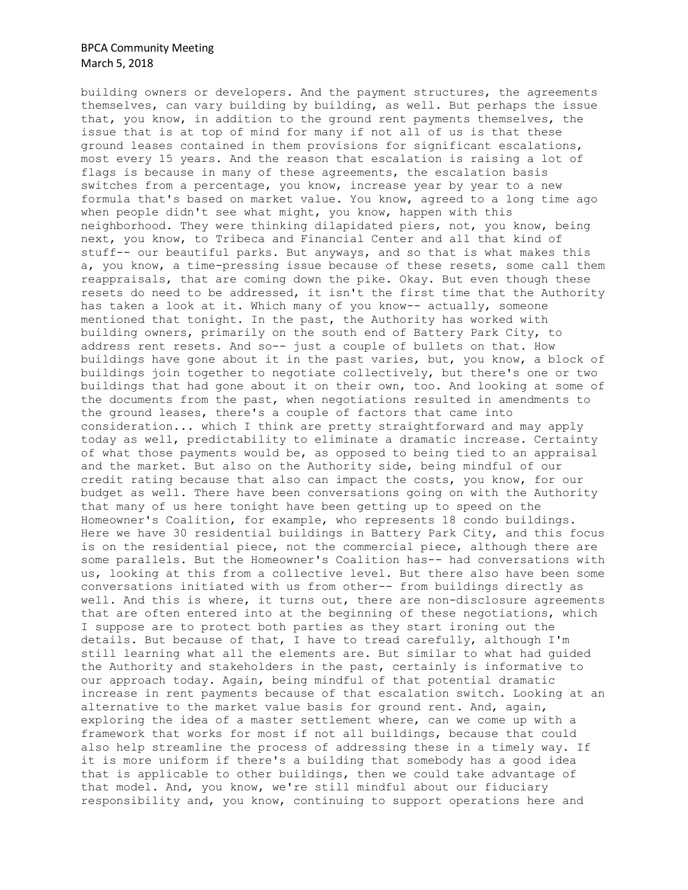building owners or developers. And the payment structures, the agreements themselves, can vary building by building, as well. But perhaps the issue that, you know, in addition to the ground rent payments themselves, the issue that is at top of mind for many if not all of us is that these ground leases contained in them provisions for significant escalations, most every 15 years. And the reason that escalation is raising a lot of flags is because in many of these agreements, the escalation basis switches from a percentage, you know, increase year by year to a new formula that's based on market value. You know, agreed to a long time ago when people didn't see what might, you know, happen with this neighborhood. They were thinking dilapidated piers, not, you know, being next, you know, to Tribeca and Financial Center and all that kind of stuff-- our beautiful parks. But anyways, and so that is what makes this a, you know, a time-pressing issue because of these resets, some call them reappraisals, that are coming down the pike. Okay. But even though these resets do need to be addressed, it isn't the first time that the Authority has taken a look at it. Which many of you know-- actually, someone mentioned that tonight. In the past, the Authority has worked with building owners, primarily on the south end of Battery Park City, to address rent resets. And so-- just a couple of bullets on that. How buildings have gone about it in the past varies, but, you know, a block of buildings join together to negotiate collectively, but there's one or two buildings that had gone about it on their own, too. And looking at some of the documents from the past, when negotiations resulted in amendments to the ground leases, there's a couple of factors that came into consideration... which I think are pretty straightforward and may apply today as well, predictability to eliminate a dramatic increase. Certainty of what those payments would be, as opposed to being tied to an appraisal and the market. But also on the Authority side, being mindful of our credit rating because that also can impact the costs, you know, for our budget as well. There have been conversations going on with the Authority that many of us here tonight have been getting up to speed on the Homeowner's Coalition, for example, who represents 18 condo buildings. Here we have 30 residential buildings in Battery Park City, and this focus is on the residential piece, not the commercial piece, although there are some parallels. But the Homeowner's Coalition has-- had conversations with us, looking at this from a collective level. But there also have been some conversations initiated with us from other-- from buildings directly as well. And this is where, it turns out, there are non-disclosure agreements that are often entered into at the beginning of these negotiations, which I suppose are to protect both parties as they start ironing out the details. But because of that, I have to tread carefully, although I'm still learning what all the elements are. But similar to what had guided the Authority and stakeholders in the past, certainly is informative to our approach today. Again, being mindful of that potential dramatic increase in rent payments because of that escalation switch. Looking at an alternative to the market value basis for ground rent. And, again, exploring the idea of a master settlement where, can we come up with a framework that works for most if not all buildings, because that could also help streamline the process of addressing these in a timely way. If it is more uniform if there's a building that somebody has a good idea that is applicable to other buildings, then we could take advantage of that model. And, you know, we're still mindful about our fiduciary responsibility and, you know, continuing to support operations here and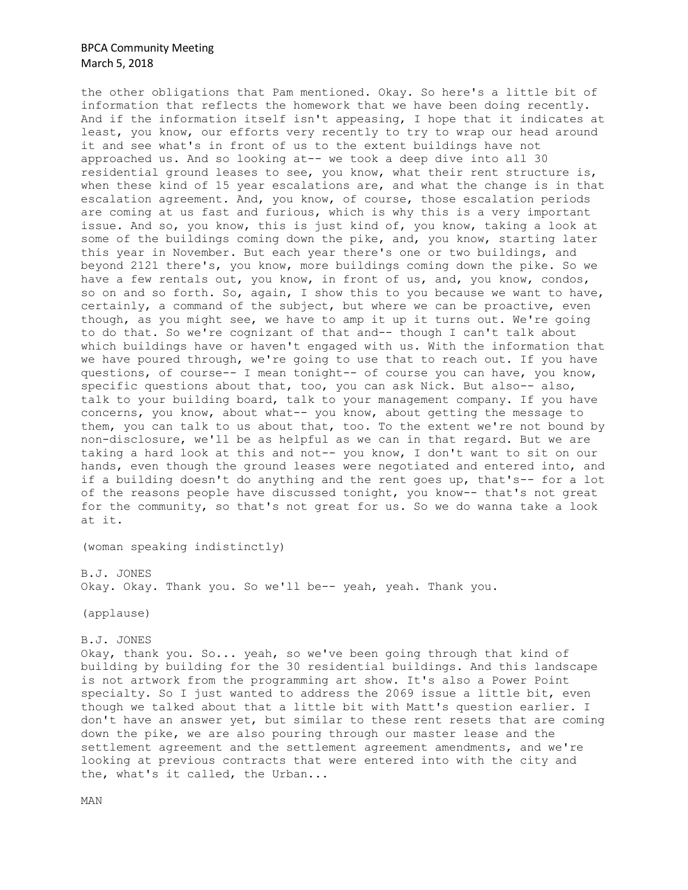the other obligations that Pam mentioned. Okay. So here's a little bit of information that reflects the homework that we have been doing recently. And if the information itself isn't appeasing, I hope that it indicates at least, you know, our efforts very recently to try to wrap our head around it and see what's in front of us to the extent buildings have not approached us. And so looking at-- we took a deep dive into all 30 residential ground leases to see, you know, what their rent structure is, when these kind of 15 year escalations are, and what the change is in that escalation agreement. And, you know, of course, those escalation periods are coming at us fast and furious, which is why this is a very important issue. And so, you know, this is just kind of, you know, taking a look at some of the buildings coming down the pike, and, you know, starting later this year in November. But each year there's one or two buildings, and beyond 2121 there's, you know, more buildings coming down the pike. So we have a few rentals out, you know, in front of us, and, you know, condos, so on and so forth. So, again, I show this to you because we want to have, certainly, a command of the subject, but where we can be proactive, even though, as you might see, we have to amp it up it turns out. We're going to do that. So we're cognizant of that and-- though I can't talk about which buildings have or haven't engaged with us. With the information that we have poured through, we're going to use that to reach out. If you have questions, of course-- I mean tonight-- of course you can have, you know, specific questions about that, too, you can ask Nick. But also-- also, talk to your building board, talk to your management company. If you have concerns, you know, about what-- you know, about getting the message to them, you can talk to us about that, too. To the extent we're not bound by non-disclosure, we'll be as helpful as we can in that regard. But we are taking a hard look at this and not-- you know, I don't want to sit on our hands, even though the ground leases were negotiated and entered into, and if a building doesn't do anything and the rent goes up, that's-- for a lot of the reasons people have discussed tonight, you know-- that's not great for the community, so that's not great for us. So we do wanna take a look at it.

(woman speaking indistinctly)

B.J. JONES

Okay. Okay. Thank you. So we'll be-- yeah, yeah. Thank you.

(applause)

B.J. JONES

Okay, thank you. So... yeah, so we've been going through that kind of building by building for the 30 residential buildings. And this landscape is not artwork from the programming art show. It's also a Power Point specialty. So I just wanted to address the 2069 issue a little bit, even though we talked about that a little bit with Matt's question earlier. I don't have an answer yet, but similar to these rent resets that are coming down the pike, we are also pouring through our master lease and the settlement agreement and the settlement agreement amendments, and we're looking at previous contracts that were entered into with the city and the, what's it called, the Urban...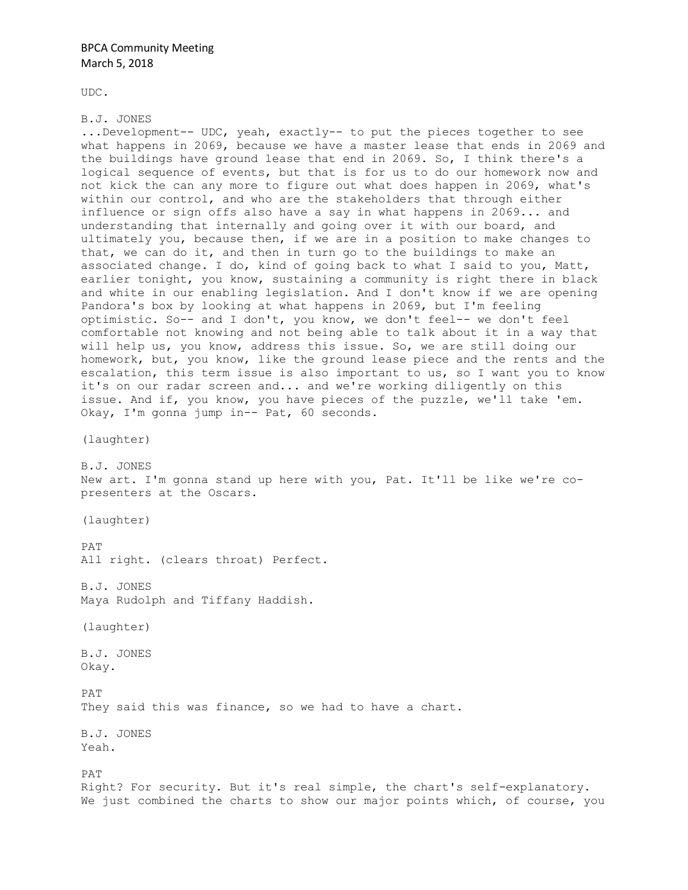UDC.

### B.J. JONES

...Development-- UDC, yeah, exactly-- to put the pieces together to see what happens in 2069, because we have a master lease that ends in 2069 and the buildings have ground lease that end in 2069. So, I think there's a logical sequence of events, but that is for us to do our homework now and not kick the can any more to figure out what does happen in 2069, what's within our control, and who are the stakeholders that through either influence or sign offs also have a say in what happens in 2069... and understanding that internally and going over it with our board, and ultimately you, because then, if we are in a position to make changes to that, we can do it, and then in turn go to the buildings to make an associated change. I do, kind of going back to what I said to you, Matt, earlier tonight, you know, sustaining a community is right there in black and white in our enabling legislation. And I don't know if we are opening Pandora's box by looking at what happens in 2069, but I'm feeling optimistic. So-- and I don't, you know, we don't feel-- we don't feel comfortable not knowing and not being able to talk about it in a way that will help us, you know, address this issue. So, we are still doing our homework, but, you know, like the ground lease piece and the rents and the escalation, this term issue is also important to us, so I want you to know it's on our radar screen and... and we're working diligently on this issue. And if, you know, you have pieces of the puzzle, we'll take 'em. Okay, I'm gonna jump in-- Pat, 60 seconds. (laughter) B.J. JONES New art. I'm gonna stand up here with you, Pat. It'll be like we're copresenters at the Oscars. (laughter) PAT All right. (clears throat) Perfect. B.J. JONES Maya Rudolph and Tiffany Haddish. (laughter)

B.J. JONES Okay.

PAT They said this was finance, so we had to have a chart.

B.J. JONES Yeah.

PAT Right? For security. But it's real simple, the chart's self-explanatory. We just combined the charts to show our major points which, of course, you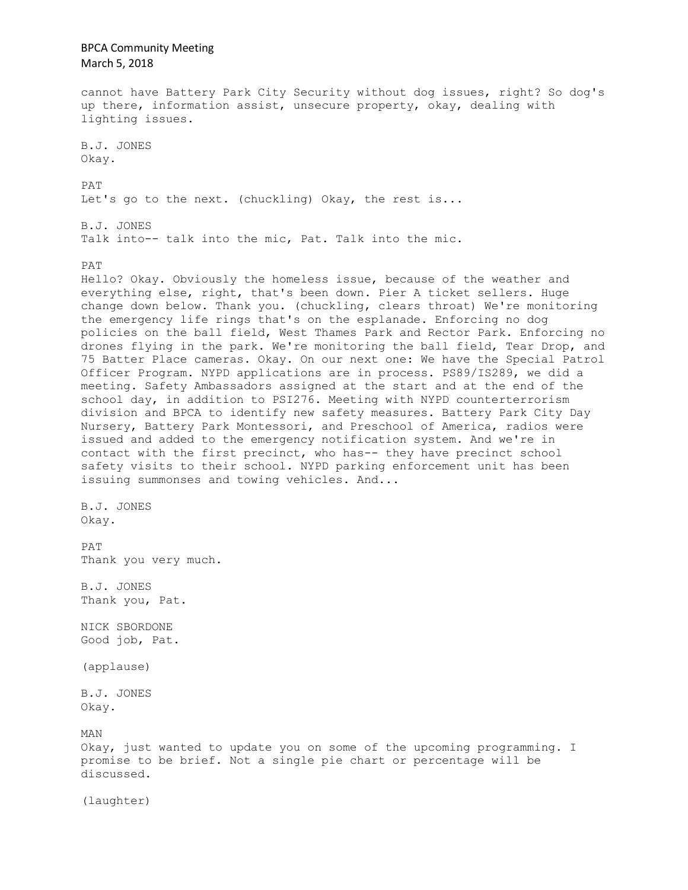BPCA Community Meeting March 5, 2018 cannot have Battery Park City Security without dog issues, right? So dog's up there, information assist, unsecure property, okay, dealing with lighting issues. B.J. JONES Okay. PAT Let's go to the next. (chuckling) Okay, the rest is... B.J. JONES Talk into-- talk into the mic, Pat. Talk into the mic. PAT Hello? Okay. Obviously the homeless issue, because of the weather and everything else, right, that's been down. Pier A ticket sellers. Huge change down below. Thank you. (chuckling, clears throat) We're monitoring the emergency life rings that's on the esplanade. Enforcing no dog policies on the ball field, West Thames Park and Rector Park. Enforcing no drones flying in the park. We're monitoring the ball field, Tear Drop, and 75 Batter Place cameras. Okay. On our next one: We have the Special Patrol Officer Program. NYPD applications are in process. PS89/IS289, we did a meeting. Safety Ambassadors assigned at the start and at the end of the school day, in addition to PSI276. Meeting with NYPD counterterrorism division and BPCA to identify new safety measures. Battery Park City Day Nursery, Battery Park Montessori, and Preschool of America, radios were issued and added to the emergency notification system. And we're in contact with the first precinct, who has-- they have precinct school safety visits to their school. NYPD parking enforcement unit has been issuing summonses and towing vehicles. And... B.J. JONES Okay. PAT Thank you very much. B.J. JONES Thank you, Pat. NICK SBORDONE Good job, Pat. (applause) B.J. JONES Okay. MAN Okay, just wanted to update you on some of the upcoming programming. I promise to be brief. Not a single pie chart or percentage will be discussed. (laughter)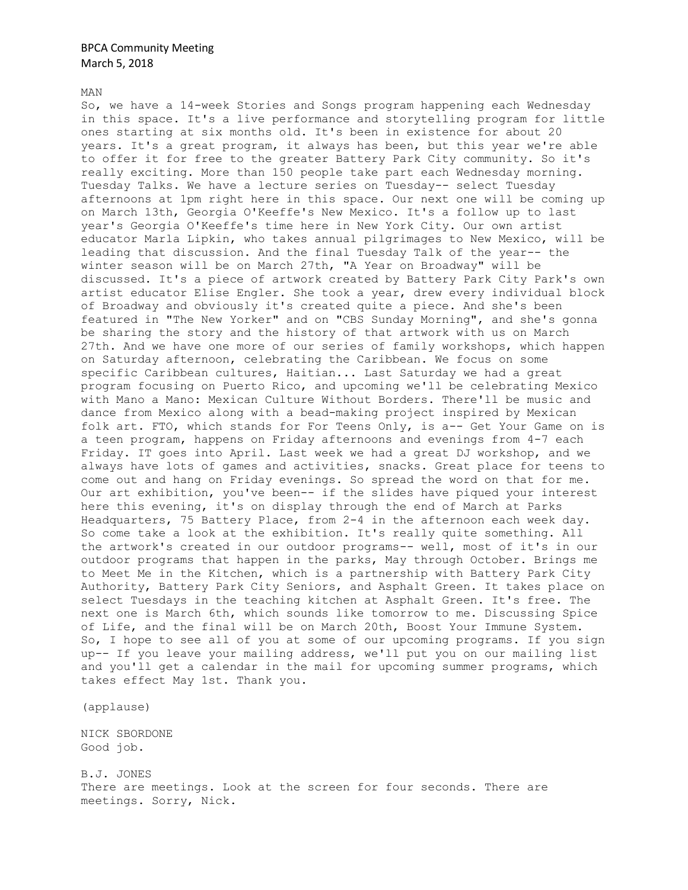MAN

So, we have a 14-week Stories and Songs program happening each Wednesday in this space. It's a live performance and storytelling program for little ones starting at six months old. It's been in existence for about 20 years. It's a great program, it always has been, but this year we're able to offer it for free to the greater Battery Park City community. So it's really exciting. More than 150 people take part each Wednesday morning. Tuesday Talks. We have a lecture series on Tuesday-- select Tuesday afternoons at 1pm right here in this space. Our next one will be coming up on March 13th, Georgia O'Keeffe's New Mexico. It's a follow up to last year's Georgia O'Keeffe's time here in New York City. Our own artist educator Marla Lipkin, who takes annual pilgrimages to New Mexico, will be leading that discussion. And the final Tuesday Talk of the year-- the winter season will be on March 27th, "A Year on Broadway" will be discussed. It's a piece of artwork created by Battery Park City Park's own artist educator Elise Engler. She took a year, drew every individual block of Broadway and obviously it's created quite a piece. And she's been featured in "The New Yorker" and on "CBS Sunday Morning", and she's gonna be sharing the story and the history of that artwork with us on March 27th. And we have one more of our series of family workshops, which happen on Saturday afternoon, celebrating the Caribbean. We focus on some specific Caribbean cultures, Haitian... Last Saturday we had a great program focusing on Puerto Rico, and upcoming we'll be celebrating Mexico with Mano a Mano: Mexican Culture Without Borders. There'll be music and dance from Mexico along with a bead-making project inspired by Mexican folk art. FTO, which stands for For Teens Only, is a-- Get Your Game on is a teen program, happens on Friday afternoons and evenings from 4-7 each Friday. IT goes into April. Last week we had a great DJ workshop, and we always have lots of games and activities, snacks. Great place for teens to come out and hang on Friday evenings. So spread the word on that for me. Our art exhibition, you've been-- if the slides have piqued your interest here this evening, it's on display through the end of March at Parks Headquarters, 75 Battery Place, from 2-4 in the afternoon each week day. So come take a look at the exhibition. It's really quite something. All the artwork's created in our outdoor programs-- well, most of it's in our outdoor programs that happen in the parks, May through October. Brings me to Meet Me in the Kitchen, which is a partnership with Battery Park City Authority, Battery Park City Seniors, and Asphalt Green. It takes place on select Tuesdays in the teaching kitchen at Asphalt Green. It's free. The next one is March 6th, which sounds like tomorrow to me. Discussing Spice of Life, and the final will be on March 20th, Boost Your Immune System. So, I hope to see all of you at some of our upcoming programs. If you sign up-- If you leave your mailing address, we'll put you on our mailing list and you'll get a calendar in the mail for upcoming summer programs, which takes effect May 1st. Thank you.

(applause)

NICK SBORDONE Good job.

B.J. JONES There are meetings. Look at the screen for four seconds. There are meetings. Sorry, Nick.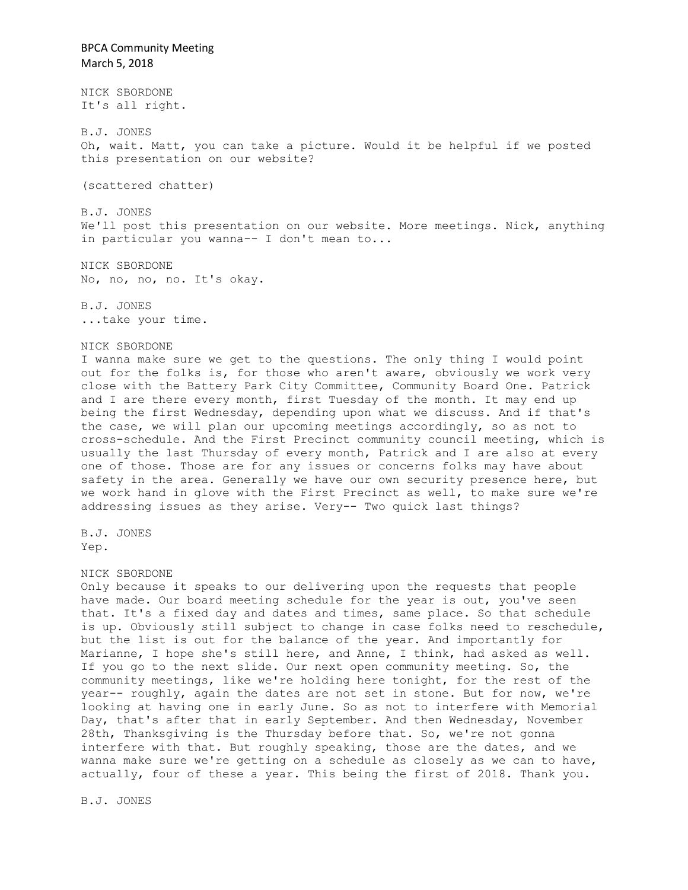NICK SBORDONE It's all right.

B.J. JONES Oh, wait. Matt, you can take a picture. Would it be helpful if we posted this presentation on our website?

(scattered chatter)

B.J. JONES We'll post this presentation on our website. More meetings. Nick, anything in particular you wanna-- I don't mean to...

NICK SBORDONE No, no, no, no. It's okay.

B.J. JONES ...take your time.

### NICK SBORDONE

I wanna make sure we get to the questions. The only thing I would point out for the folks is, for those who aren't aware, obviously we work very close with the Battery Park City Committee, Community Board One. Patrick and I are there every month, first Tuesday of the month. It may end up being the first Wednesday, depending upon what we discuss. And if that's the case, we will plan our upcoming meetings accordingly, so as not to cross-schedule. And the First Precinct community council meeting, which is usually the last Thursday of every month, Patrick and I are also at every one of those. Those are for any issues or concerns folks may have about safety in the area. Generally we have our own security presence here, but we work hand in glove with the First Precinct as well, to make sure we're addressing issues as they arise. Very-- Two quick last things?

B.J. JONES Yep.

#### NICK SBORDONE

Only because it speaks to our delivering upon the requests that people have made. Our board meeting schedule for the year is out, you've seen that. It's a fixed day and dates and times, same place. So that schedule is up. Obviously still subject to change in case folks need to reschedule, but the list is out for the balance of the year. And importantly for Marianne, I hope she's still here, and Anne, I think, had asked as well. If you go to the next slide. Our next open community meeting. So, the community meetings, like we're holding here tonight, for the rest of the year-- roughly, again the dates are not set in stone. But for now, we're looking at having one in early June. So as not to interfere with Memorial Day, that's after that in early September. And then Wednesday, November 28th, Thanksgiving is the Thursday before that. So, we're not gonna interfere with that. But roughly speaking, those are the dates, and we wanna make sure we're getting on a schedule as closely as we can to have, actually, four of these a year. This being the first of 2018. Thank you.

B.J. JONES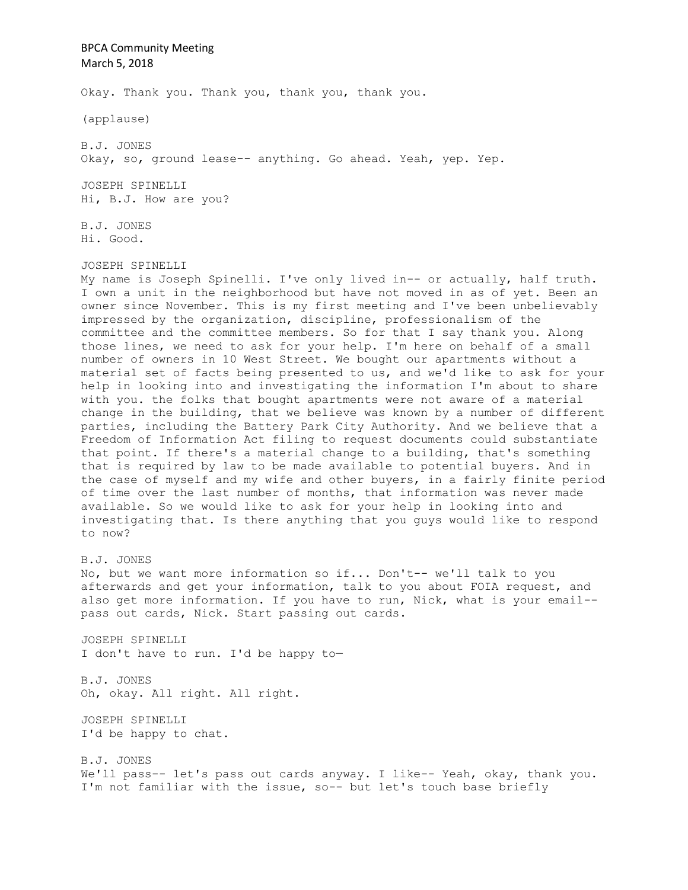Okay. Thank you. Thank you, thank you, thank you.

(applause)

B.J. JONES Okay, so, ground lease-- anything. Go ahead. Yeah, yep. Yep.

JOSEPH SPINELLI Hi, B.J. How are you?

B.J. JONES Hi. Good.

JOSEPH SPINELLI

My name is Joseph Spinelli. I've only lived in-- or actually, half truth. I own a unit in the neighborhood but have not moved in as of yet. Been an owner since November. This is my first meeting and I've been unbelievably impressed by the organization, discipline, professionalism of the committee and the committee members. So for that I say thank you. Along those lines, we need to ask for your help. I'm here on behalf of a small number of owners in 10 West Street. We bought our apartments without a material set of facts being presented to us, and we'd like to ask for your help in looking into and investigating the information I'm about to share with you. the folks that bought apartments were not aware of a material change in the building, that we believe was known by a number of different parties, including the Battery Park City Authority. And we believe that a Freedom of Information Act filing to request documents could substantiate that point. If there's a material change to a building, that's something that is required by law to be made available to potential buyers. And in the case of myself and my wife and other buyers, in a fairly finite period of time over the last number of months, that information was never made available. So we would like to ask for your help in looking into and investigating that. Is there anything that you guys would like to respond to now?

B.J. JONES No, but we want more information so if... Don't-- we'll talk to you afterwards and get your information, talk to you about FOIA request, and also get more information. If you have to run, Nick, what is your email- pass out cards, Nick. Start passing out cards.

JOSEPH SPINELLI I don't have to run. I'd be happy to—

B.J. JONES Oh, okay. All right. All right.

JOSEPH SPINELLI I'd be happy to chat.

B.J. JONES We'll pass-- let's pass out cards anyway. I like-- Yeah, okay, thank you. I'm not familiar with the issue, so-- but let's touch base briefly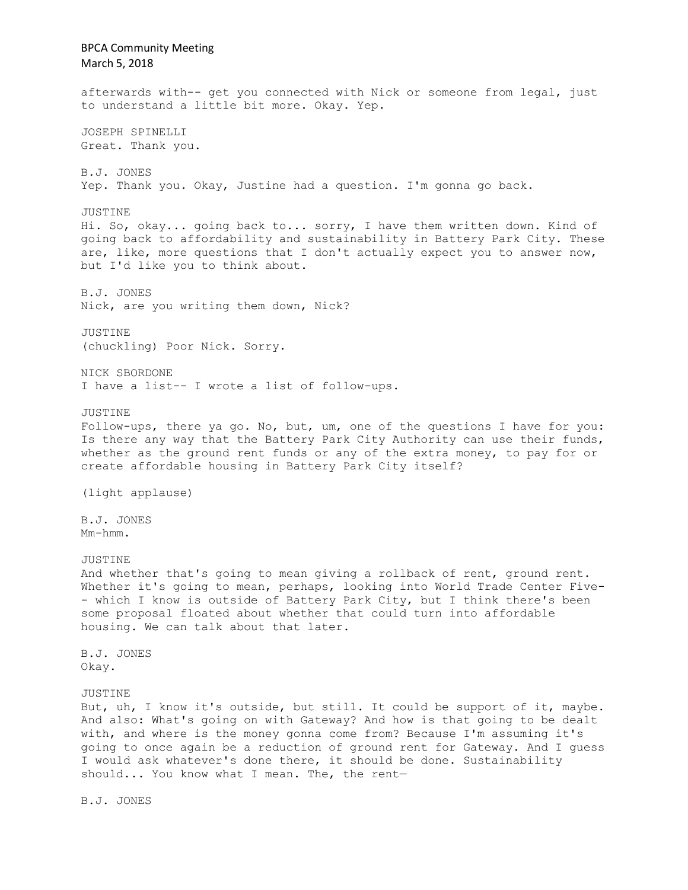BPCA Community Meeting March 5, 2018 afterwards with-- get you connected with Nick or someone from legal, just to understand a little bit more. Okay. Yep. JOSEPH SPINELLI Great. Thank you. B.J. JONES Yep. Thank you. Okay, Justine had a question. I'm gonna go back. JUSTINE Hi. So, okay... going back to... sorry, I have them written down. Kind of going back to affordability and sustainability in Battery Park City. These are, like, more questions that I don't actually expect you to answer now, but I'd like you to think about. B.J. JONES Nick, are you writing them down, Nick? JUSTINE (chuckling) Poor Nick. Sorry. NICK SBORDONE I have a list-- I wrote a list of follow-ups. JUSTINE Follow-ups, there ya go. No, but, um, one of the questions I have for you: Is there any way that the Battery Park City Authority can use their funds, whether as the ground rent funds or any of the extra money, to pay for or create affordable housing in Battery Park City itself? (light applause) B.J. JONES Mm-hmm. JUSTINE And whether that's going to mean giving a rollback of rent, ground rent. Whether it's going to mean, perhaps, looking into World Trade Center Five- - which I know is outside of Battery Park City, but I think there's been some proposal floated about whether that could turn into affordable housing. We can talk about that later. B.J. JONES Okay. JUSTINE But, uh, I know it's outside, but still. It could be support of it, maybe. And also: What's going on with Gateway? And how is that going to be dealt with, and where is the money gonna come from? Because I'm assuming it's going to once again be a reduction of ground rent for Gateway. And I guess I would ask whatever's done there, it should be done. Sustainability should... You know what I mean. The, the rent—

B.J. JONES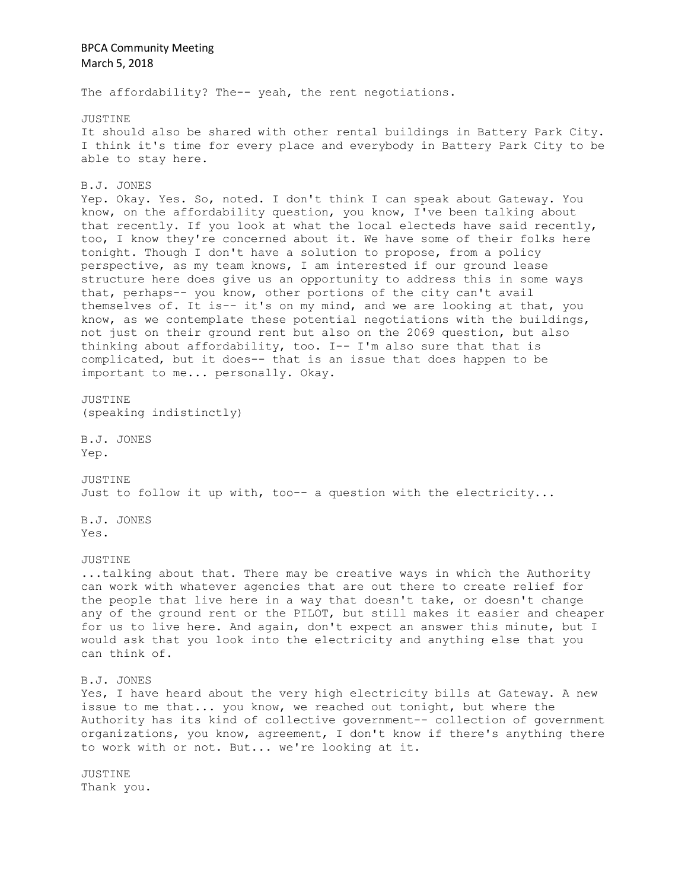The affordability? The-- yeah, the rent negotiations.

JUSTINE It should also be shared with other rental buildings in Battery Park City. I think it's time for every place and everybody in Battery Park City to be able to stay here.

B.J. JONES

Yep. Okay. Yes. So, noted. I don't think I can speak about Gateway. You know, on the affordability question, you know, I've been talking about that recently. If you look at what the local electeds have said recently, too, I know they're concerned about it. We have some of their folks here tonight. Though I don't have a solution to propose, from a policy perspective, as my team knows, I am interested if our ground lease structure here does give us an opportunity to address this in some ways that, perhaps-- you know, other portions of the city can't avail themselves of. It is-- it's on my mind, and we are looking at that, you know, as we contemplate these potential negotiations with the buildings, not just on their ground rent but also on the 2069 question, but also thinking about affordability, too. I-- I'm also sure that that is complicated, but it does-- that is an issue that does happen to be important to me... personally. Okay.

JUSTINE (speaking indistinctly)

B.J. JONES Yep.

JUSTINE Just to follow it up with, too-- a question with the electricity...

B.J. JONES Yes.

JUSTINE

...talking about that. There may be creative ways in which the Authority can work with whatever agencies that are out there to create relief for the people that live here in a way that doesn't take, or doesn't change any of the ground rent or the PILOT, but still makes it easier and cheaper for us to live here. And again, don't expect an answer this minute, but I would ask that you look into the electricity and anything else that you can think of.

B.J. JONES

Yes, I have heard about the very high electricity bills at Gateway. A new issue to me that... you know, we reached out tonight, but where the Authority has its kind of collective government-- collection of government organizations, you know, agreement, I don't know if there's anything there to work with or not. But... we're looking at it.

JUSTINE Thank you.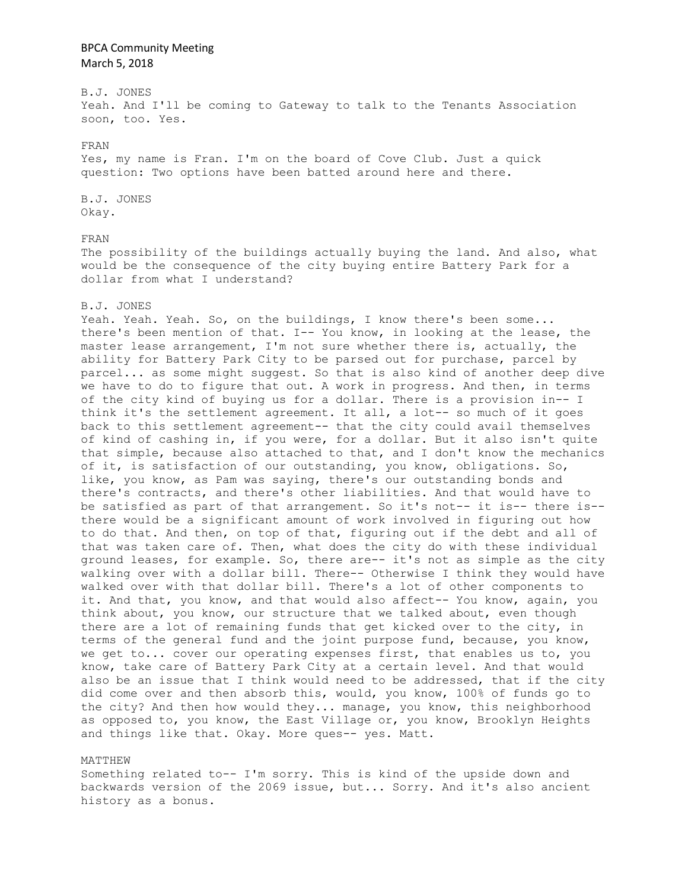B.J. JONES Yeah. And I'll be coming to Gateway to talk to the Tenants Association soon, too. Yes.

#### FRAN

Yes, my name is Fran. I'm on the board of Cove Club. Just a quick question: Two options have been batted around here and there.

B.J. JONES Okay.

### FRAN

The possibility of the buildings actually buying the land. And also, what would be the consequence of the city buying entire Battery Park for a dollar from what I understand?

#### B.J. JONES

Yeah. Yeah. Yeah. So, on the buildings, I know there's been some... there's been mention of that. I-- You know, in looking at the lease, the master lease arrangement, I'm not sure whether there is, actually, the ability for Battery Park City to be parsed out for purchase, parcel by parcel... as some might suggest. So that is also kind of another deep dive we have to do to figure that out. A work in progress. And then, in terms of the city kind of buying us for a dollar. There is a provision in-- I think it's the settlement agreement. It all, a lot-- so much of it goes back to this settlement agreement-- that the city could avail themselves of kind of cashing in, if you were, for a dollar. But it also isn't quite that simple, because also attached to that, and I don't know the mechanics of it, is satisfaction of our outstanding, you know, obligations. So, like, you know, as Pam was saying, there's our outstanding bonds and there's contracts, and there's other liabilities. And that would have to be satisfied as part of that arrangement. So it's not-- it is-- there is- there would be a significant amount of work involved in figuring out how to do that. And then, on top of that, figuring out if the debt and all of that was taken care of. Then, what does the city do with these individual ground leases, for example. So, there are-- it's not as simple as the city walking over with a dollar bill. There-- Otherwise I think they would have walked over with that dollar bill. There's a lot of other components to it. And that, you know, and that would also affect-- You know, again, you think about, you know, our structure that we talked about, even though there are a lot of remaining funds that get kicked over to the city, in terms of the general fund and the joint purpose fund, because, you know, we get to... cover our operating expenses first, that enables us to, you know, take care of Battery Park City at a certain level. And that would also be an issue that I think would need to be addressed, that if the city did come over and then absorb this, would, you know, 100% of funds go to the city? And then how would they... manage, you know, this neighborhood as opposed to, you know, the East Village or, you know, Brooklyn Heights and things like that. Okay. More ques-- yes. Matt.

### MATTHEW

Something related to-- I'm sorry. This is kind of the upside down and backwards version of the 2069 issue, but... Sorry. And it's also ancient history as a bonus.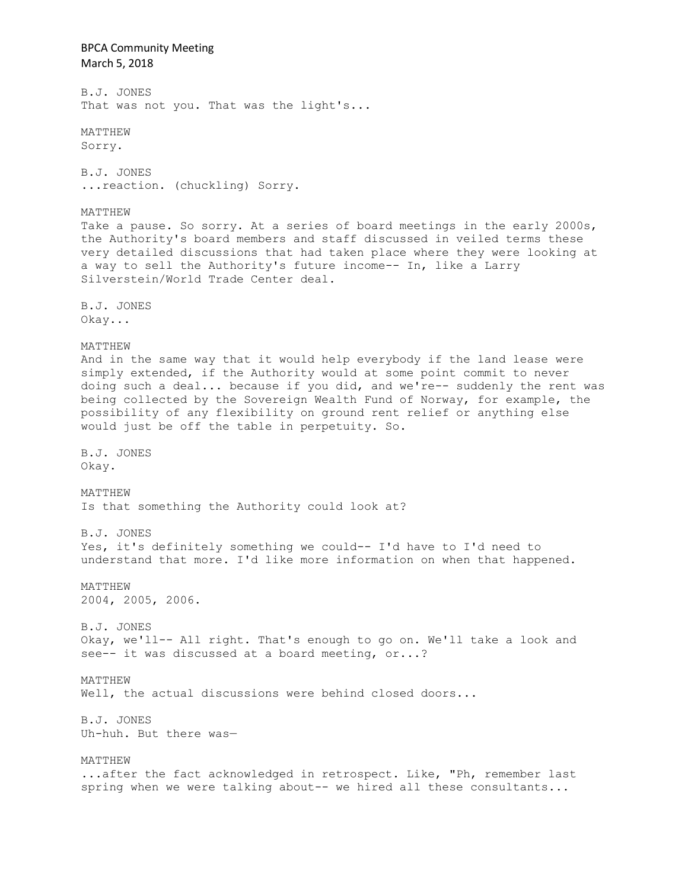BPCA Community Meeting March 5, 2018 B.J. JONES That was not you. That was the light's... MATTHEW Sorry. B.J. JONES ...reaction. (chuckling) Sorry. MATTHEW Take a pause. So sorry. At a series of board meetings in the early 2000s, the Authority's board members and staff discussed in veiled terms these very detailed discussions that had taken place where they were looking at a way to sell the Authority's future income-- In, like a Larry Silverstein/World Trade Center deal. B.J. JONES Okay... MATTHEW And in the same way that it would help everybody if the land lease were simply extended, if the Authority would at some point commit to never doing such a deal... because if you did, and we're-- suddenly the rent was being collected by the Sovereign Wealth Fund of Norway, for example, the possibility of any flexibility on ground rent relief or anything else would just be off the table in perpetuity. So. B.J. JONES Okay. MATTHEW Is that something the Authority could look at? B.J. JONES Yes, it's definitely something we could-- I'd have to I'd need to understand that more. I'd like more information on when that happened. MATTHEW 2004, 2005, 2006. B.J. JONES Okay, we'll-- All right. That's enough to go on. We'll take a look and see-- it was discussed at a board meeting, or...? MATTHEW Well, the actual discussions were behind closed doors... B.J. JONES Uh-huh. But there was— MATTHEW ...after the fact acknowledged in retrospect. Like, "Ph, remember last spring when we were talking about-- we hired all these consultants...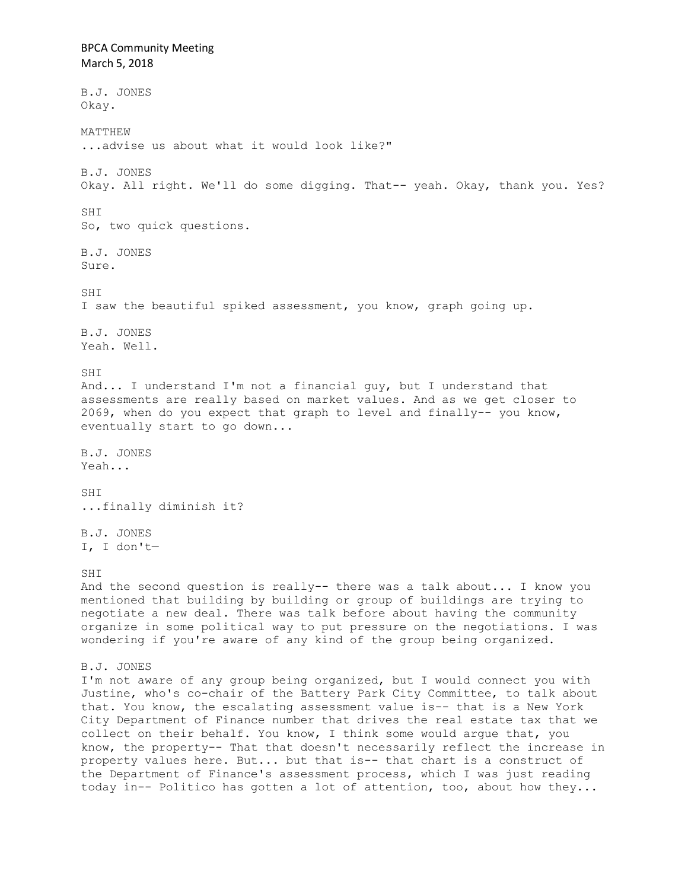BPCA Community Meeting March 5, 2018 B.J. JONES Okay. MATTHEW ...advise us about what it would look like?" B.J. JONES Okay. All right. We'll do some digging. That-- yeah. Okay, thank you. Yes? SHI So, two quick questions. B.J. JONES Sure. SHI I saw the beautiful spiked assessment, you know, graph going up. B.J. JONES Yeah. Well. SHI And... I understand I'm not a financial guy, but I understand that assessments are really based on market values. And as we get closer to 2069, when do you expect that graph to level and finally-- you know, eventually start to go down... B.J. JONES Yeah... SHI ...finally diminish it? B.J. JONES I, I don't— SHI And the second question is really-- there was a talk about... I know you mentioned that building by building or group of buildings are trying to negotiate a new deal. There was talk before about having the community organize in some political way to put pressure on the negotiations. I was wondering if you're aware of any kind of the group being organized. B.J. JONES I'm not aware of any group being organized, but I would connect you with Justine, who's co-chair of the Battery Park City Committee, to talk about that. You know, the escalating assessment value is-- that is a New York City Department of Finance number that drives the real estate tax that we collect on their behalf. You know, I think some would argue that, you know, the property-- That that doesn't necessarily reflect the increase in property values here. But... but that is-- that chart is a construct of the Department of Finance's assessment process, which I was just reading today in-- Politico has gotten a lot of attention, too, about how they...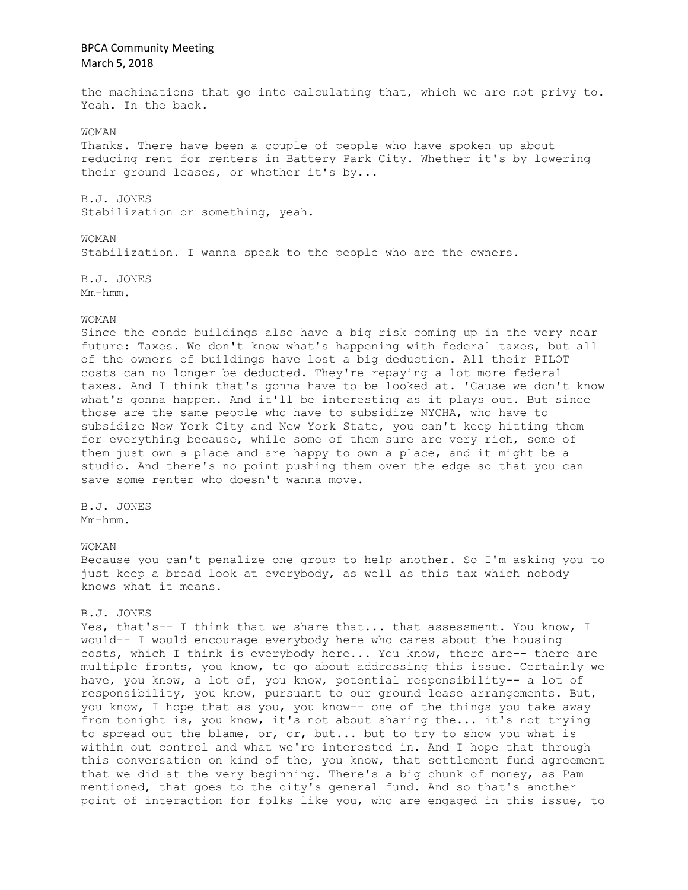the machinations that go into calculating that, which we are not privy to. Yeah. In the back.

## WOMAN

Thanks. There have been a couple of people who have spoken up about reducing rent for renters in Battery Park City. Whether it's by lowering their ground leases, or whether it's by...

B.J. JONES Stabilization or something, yeah.

### WOMAN

Stabilization. I wanna speak to the people who are the owners.

B.J. JONES Mm-hmm.

### WOMAN

Since the condo buildings also have a big risk coming up in the very near future: Taxes. We don't know what's happening with federal taxes, but all of the owners of buildings have lost a big deduction. All their PILOT costs can no longer be deducted. They're repaying a lot more federal taxes. And I think that's gonna have to be looked at. 'Cause we don't know what's gonna happen. And it'll be interesting as it plays out. But since those are the same people who have to subsidize NYCHA, who have to subsidize New York City and New York State, you can't keep hitting them for everything because, while some of them sure are very rich, some of them just own a place and are happy to own a place, and it might be a studio. And there's no point pushing them over the edge so that you can save some renter who doesn't wanna move.

### B.J. JONES Mm-hmm.

### WOMAN

Because you can't penalize one group to help another. So I'm asking you to just keep a broad look at everybody, as well as this tax which nobody knows what it means.

### B.J. JONES

Yes, that's-- I think that we share that... that assessment. You know, I would-- I would encourage everybody here who cares about the housing costs, which I think is everybody here... You know, there are-- there are multiple fronts, you know, to go about addressing this issue. Certainly we have, you know, a lot of, you know, potential responsibility-- a lot of responsibility, you know, pursuant to our ground lease arrangements. But, you know, I hope that as you, you know-- one of the things you take away from tonight is, you know, it's not about sharing the... it's not trying to spread out the blame, or, or, but... but to try to show you what is within out control and what we're interested in. And I hope that through this conversation on kind of the, you know, that settlement fund agreement that we did at the very beginning. There's a big chunk of money, as Pam mentioned, that goes to the city's general fund. And so that's another point of interaction for folks like you, who are engaged in this issue, to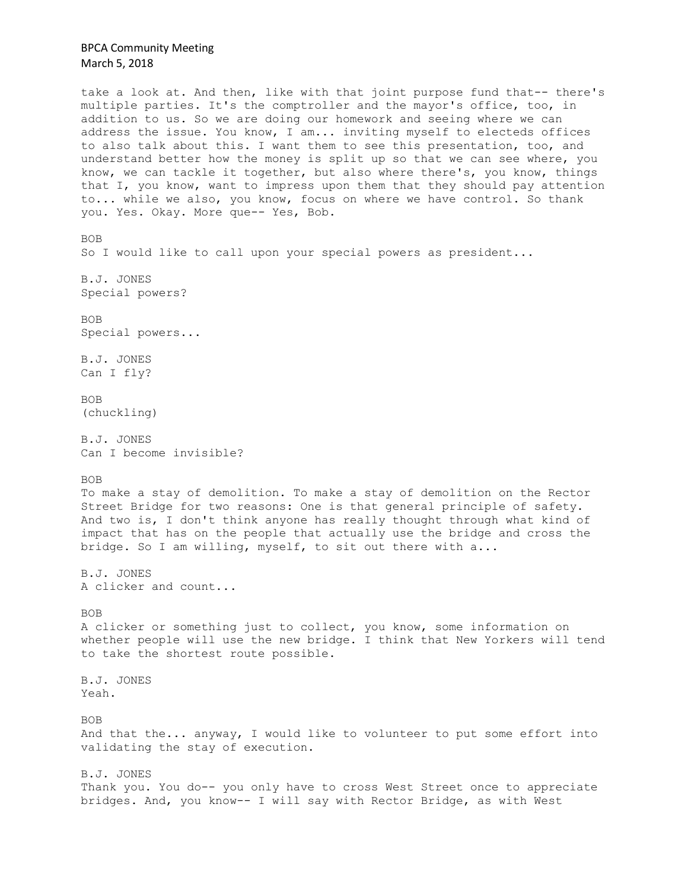take a look at. And then, like with that joint purpose fund that-- there's multiple parties. It's the comptroller and the mayor's office, too, in addition to us. So we are doing our homework and seeing where we can address the issue. You know, I am... inviting myself to electeds offices to also talk about this. I want them to see this presentation, too, and understand better how the money is split up so that we can see where, you know, we can tackle it together, but also where there's, you know, things that I, you know, want to impress upon them that they should pay attention to... while we also, you know, focus on where we have control. So thank you. Yes. Okay. More que-- Yes, Bob. BOB So I would like to call upon your special powers as president... B.J. JONES Special powers? BOB Special powers... B.J. JONES Can I fly? BOB (chuckling) B.J. JONES Can I become invisible? BOB To make a stay of demolition. To make a stay of demolition on the Rector Street Bridge for two reasons: One is that general principle of safety. And two is, I don't think anyone has really thought through what kind of impact that has on the people that actually use the bridge and cross the bridge. So I am willing, myself, to sit out there with a... B.J. JONES A clicker and count... BOB A clicker or something just to collect, you know, some information on whether people will use the new bridge. I think that New Yorkers will tend to take the shortest route possible. B.J. JONES Yeah. BOB And that the... anyway, I would like to volunteer to put some effort into validating the stay of execution. B.J. JONES Thank you. You do-- you only have to cross West Street once to appreciate bridges. And, you know-- I will say with Rector Bridge, as with West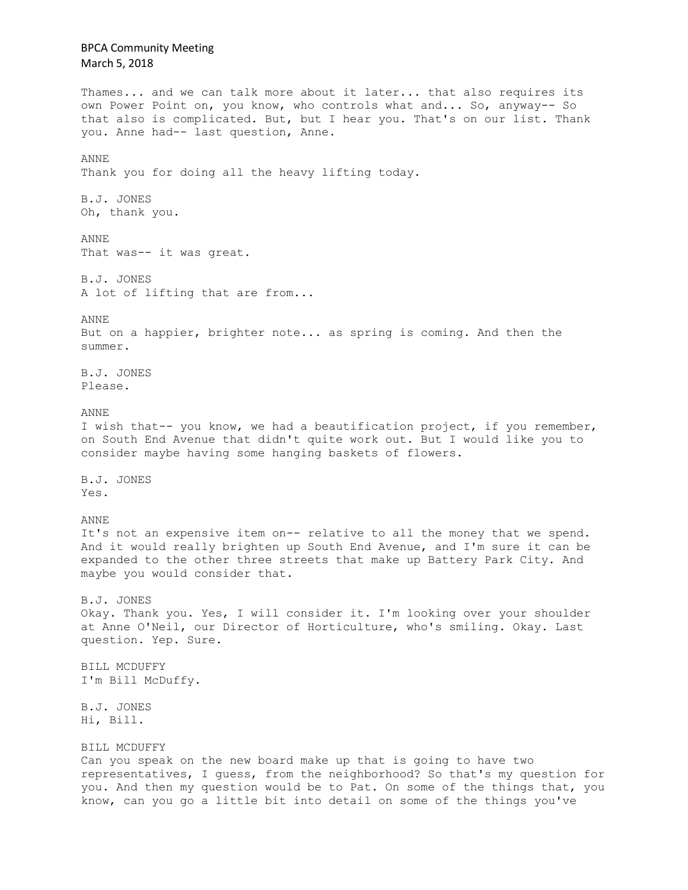# BPCA Community Meeting March 5, 2018 Thames... and we can talk more about it later... that also requires its own Power Point on, you know, who controls what and... So, anyway-- So that also is complicated. But, but I hear you. That's on our list. Thank you. Anne had-- last question, Anne. ANNE Thank you for doing all the heavy lifting today. B.J. JONES Oh, thank you. ANNE That was-- it was great. B.J. JONES A lot of lifting that are from... ANNE But on a happier, brighter note... as spring is coming. And then the summer. B.J. JONES Please. ANNE I wish that-- you know, we had a beautification project, if you remember, on South End Avenue that didn't quite work out. But I would like you to consider maybe having some hanging baskets of flowers. B.J. JONES Yes. ANNE It's not an expensive item on-- relative to all the money that we spend. And it would really brighten up South End Avenue, and I'm sure it can be expanded to the other three streets that make up Battery Park City. And maybe you would consider that. B.J. JONES Okay. Thank you. Yes, I will consider it. I'm looking over your shoulder at Anne O'Neil, our Director of Horticulture, who's smiling. Okay. Last question. Yep. Sure. BILL MCDUFFY I'm Bill McDuffy. B.J. JONES Hi, Bill. BILL MCDUFFY Can you speak on the new board make up that is going to have two representatives, I guess, from the neighborhood? So that's my question for you. And then my question would be to Pat. On some of the things that, you know, can you go a little bit into detail on some of the things you've